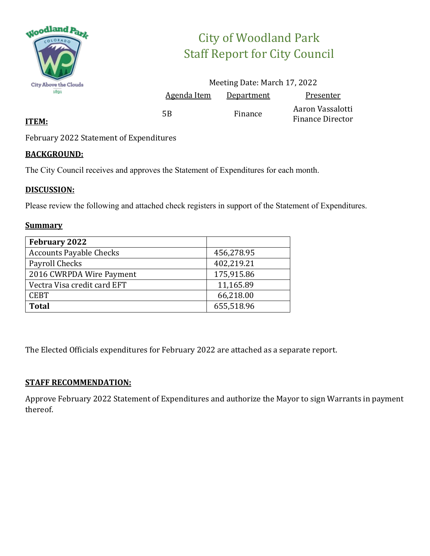

# City of Woodland Park Staff Report for City Council

|                    | Meeting Date: March 17, 2022 |                                             |
|--------------------|------------------------------|---------------------------------------------|
| <u>Agenda Item</u> | Department                   | Presenter                                   |
| 5B                 | Finance                      | Aaron Vassalotti<br><b>Finance Director</b> |

### **ITEM:**

February 2022 Statement of Expenditures

### **BACKGROUND:**

The City Council receives and approves the Statement of Expenditures for each month.

### **DISCUSSION:**

Please review the following and attached check registers in support of the Statement of Expenditures.

### **Summary**

| <b>February 2022</b>           |            |
|--------------------------------|------------|
| <b>Accounts Payable Checks</b> | 456,278.95 |
| Payroll Checks                 | 402,219.21 |
| 2016 CWRPDA Wire Payment       | 175,915.86 |
| Vectra Visa credit card EFT    | 11,165.89  |
| <b>CEBT</b>                    | 66,218.00  |
| <b>Total</b>                   | 655,518.96 |

The Elected Officials expenditures for February 2022 are attached as a separate report.

### **STAFF RECOMMENDATION:**

Approve February 2022 Statement of Expenditures and authorize the Mayor to sign Warrants in payment thereof.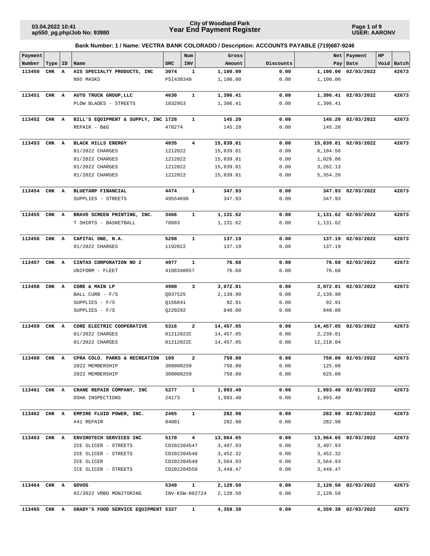**Page 1 of 9 USER: AARONV**

| Payment      |           |                                     |            | Num                     | Gross     |           | Net       | Payment              | HP |            |
|--------------|-----------|-------------------------------------|------------|-------------------------|-----------|-----------|-----------|----------------------|----|------------|
| Number       | Type   ID | Name                                | <b>SRC</b> | INV                     | Amount    | Discounts | Pay       | Date                 |    | Void Batch |
| 113450       | CHK A     | AIS SPECIALTY PRODUCTS, INC         | 3074       | $\mathbf{1}$            | 1,100.00  | 0.00      | 1,100.00  | 02/03/2022           |    | 42673      |
|              |           | N95 MASKS                           | PSI430349  |                         | 1,100.00  | 0.00      | 1,100.00  |                      |    |            |
| 113451 CHK A |           | AUTO TRUCK GROUP, LLC               | 4630       | $\mathbf{1}$            | 1,396.41  | 0.00      |           | 1,396.41 02/03/2022  |    | 42673      |
|              |           | PLOW BLADES - STREETS               | 1832953    |                         | 1,396.41  | 0.00      | 1,396.41  |                      |    |            |
|              |           |                                     |            |                         |           |           |           |                      |    |            |
| 113452       | CHK A     | BILL'S EQUIPMENT & SUPPLY, INC 1728 |            | $\mathbf{1}$            | 145.20    | 0.00      | 145.20    | 02/03/2022           |    | 42673      |
|              |           | REPAIR - B&G                        | 470274     |                         | 145.20    | 0.00      | 145.20    |                      |    |            |
|              |           |                                     |            |                         |           |           |           |                      |    |            |
| 113453 CHK A |           | <b>BLACK HILLS ENERGY</b>           | 4035       | $\overline{\mathbf{4}}$ | 15,839.81 | 0.00      |           | 15,839.81 02/03/2022 |    | 42673      |
|              |           | 01/2022 CHARGES                     | 1212022    |                         | 15,839.81 | 0.00      | 6,194.56  |                      |    |            |
|              |           | 01/2022 CHARGES                     | 1212022    |                         | 15,839.81 | 0.00      | 1,028.86  |                      |    |            |
|              |           | 01/2022 CHARGES                     | 1212022    |                         | 15,839.81 | 0.00      | 3,262.13  |                      |    |            |
|              |           | 01/2022 CHARGES                     | 1212022    |                         | 15,839.81 | 0.00      | 5,354.26  |                      |    |            |
| 113454 CHK A |           | BLUETARP FINANCIAL                  | 4474       | $\mathbf{1}$            | 347.93    | 0.00      |           | 347.93 02/03/2022    |    | 42673      |
|              |           | SUPPLIES - STREETS                  | 49554696   |                         | 347.93    | 0.00      | 347.93    |                      |    |            |
|              |           |                                     |            |                         |           |           |           |                      |    |            |
| 113455 CHK A |           | BRAVO SCREEN PRINTING, INC.         | 3466       | $\mathbf{1}$            | 1,131.62  | 0.00      |           | 1,131.62 02/03/2022  |    | 42673      |
|              |           | T SHIRTS - BASKETBALL               | 78683      |                         | 1,131.62  | 0.00      | 1,131.62  |                      |    |            |
| 113456       | CHK A     | CAPITAL ONE, N.A.                   | 5298       | 1                       | 137.19    | 0.00      |           | 137.19 02/03/2022    |    | 42673      |
|              |           | 01/2022 CHARGES                     | 1192022    |                         | 137.19    | 0.00      | 137.19    |                      |    |            |
|              |           |                                     |            |                         |           |           |           |                      |    |            |
| 113457       | CHK A     | CINTAS CORPORATION NO 2             | 4977       | $\mathbf{1}$            | 76.68     | 0.00      | 76.68     | 02/03/2022           |    | 42673      |
|              |           | UNIFORM - FLEET                     | 4108340657 |                         | 76.68     | 0.00      | 76.68     |                      |    |            |
| 113458 CHK A |           | CORE & MAIN LP                      | 4980       | 3                       | 3,072.81  | 0.00      |           | 3,072.81 02/03/2022  |    | 42673      |
|              |           | BALL CURB - F/S                     | Q037525    |                         | 2,139.90  | 0.00      | 2,139.90  |                      |    |            |
|              |           | SUPPLIES - F/S                      | Q156841    |                         | 92.91     | 0.00      | 92.91     |                      |    |            |
|              |           | SUPPLIES - F/S                      | Q220292    |                         | 840.00    | 0.00      | 840.00    |                      |    |            |
| 113459       | CHK A     | CORE ELECTRIC COOPERATIVE           | 5316       | $\mathbf{2}$            | 14,457.05 | 0.00      |           | 14,457.05 02/03/2022 |    | 42673      |
|              |           | 01/2022 CHARGES                     | 01212022C  |                         | 14,457.05 | 0.00      | 2,239.01  |                      |    |            |
|              |           | 01/2022 CHARGES                     | 01212022C  |                         | 14,457.05 | 0.00      | 12,218.04 |                      |    |            |
|              |           |                                     |            |                         |           |           |           |                      |    |            |
| 113460 CHK A |           | CPRA COLO. PARKS & RECREATION       | 109        | 2                       | 750.00    | 0.00      |           | 750.00 02/03/2022    |    | 42673      |
|              |           | 2022 MEMBERSHIP                     | 300008259  |                         | 750.00    | 0.00      | 125.00    |                      |    |            |
|              |           | 2022 MEMBERSHIP                     | 300008259  |                         | 750.00    | 0.00      | 625.00    |                      |    |            |
| 113461 CHK A |           | CRANE REPAIR COMPANY, INC           | 5277       | $\mathbf{1}$            | 1,993.40  | 0.00      |           | 1,993.40 02/03/2022  |    | 42673      |
|              |           | OSHA INSPECTIONS                    | 24173      |                         | 1,993.40  | 0.00      | 1,993.40  |                      |    |            |
| 113462 CHK A |           | EMPIRE FLUID POWER, INC.            | 2465       | $\mathbf{1}$            | 282.98    | 0.00      |           | 282.98 02/03/2022    |    | 42673      |
|              |           | #41 REPAIR                          | 84081      |                         | 282.98    | 0.00      | 282.98    |                      |    |            |
|              |           |                                     |            |                         |           |           |           |                      |    |            |
| 113463 CHK A |           | ENVIROTECH SERVICES INC             | 5170       | $\overline{\mathbf{4}}$ | 13,964.65 | 0.00      |           | 13,964.65 02/03/2022 |    | 42673      |
|              |           | ICE SLICER - STREETS                |            | CD202204547             | 3,497.93  | 0.00      | 3,497.93  |                      |    |            |
|              |           | ICE SLICER - STREETS                |            | CD202204548             | 3,452.32  | 0.00      | 3,452.32  |                      |    |            |
|              |           | ICE SLICER                          |            | CD202204549             | 3,564.93  | 0.00      | 3,564.93  |                      |    |            |
|              |           | ICE SLICER - STREETS                |            | CD202204550             | 3,449.47  | 0.00      | 3,449.47  |                      |    |            |
| 113464 CHK A |           | GOVOS                               | 5349       | $\mathbf{1}$            | 2,120.50  | 0.00      |           | 2,120.50 02/03/2022  |    | 42673      |
|              |           | 02/2022 VRBO MONITORING             |            | INV-KSW-002724          | 2,120.50  | 0.00      | 2,120.50  |                      |    |            |
|              |           |                                     |            |                         |           |           |           |                      |    |            |
| 113465 CHK A |           | GRADY'S FOOD SERVICE EQUIPMENT 5327 |            | 1                       | 4,359.38  | 0.00      |           | 4,359.38 02/03/2022  |    | 42673      |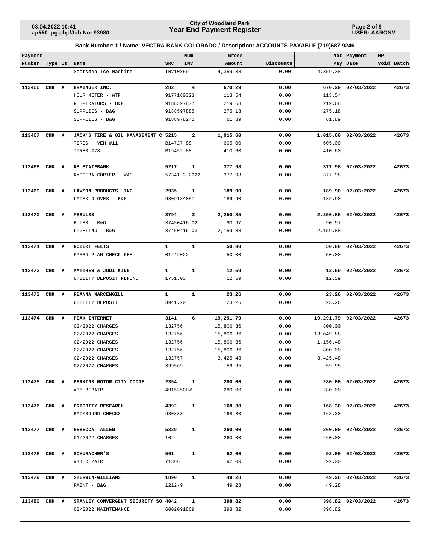**Page 2 of 9 USER: AARONV**

| Payment      |           |                                     |              | Num                     | Gross     |           |           | Net   Payment        | HP |            |
|--------------|-----------|-------------------------------------|--------------|-------------------------|-----------|-----------|-----------|----------------------|----|------------|
| Number       | Type   ID | Name                                | <b>SRC</b>   | INV                     | Amount    | Discounts |           | Pay   Date           |    | Void Batch |
|              |           | Scotsman Ice Machine                | INV10859     |                         | 4,359.38  | 0.00      | 4,359.38  |                      |    |            |
| 113466 CHK A |           | GRAINGER INC.                       | 282          | 4                       | 670.29    | 0.00      |           | 670.29 02/03/2022    |    | 42673      |
|              |           | HOUR METER - WTP                    | 9177160323   |                         | 113.54    | 0.00      | 113.54    |                      |    |            |
|              |           | RESPIRATORS - B&G                   | 9188597877   |                         | 219.68    | 0.00      | 219.68    |                      |    |            |
|              |           | SUPPLIES - B&G                      | 9188597885   |                         | 275.18    | 0.00      | 275.18    |                      |    |            |
|              |           | SUPPLIES - B&G                      | 9188978242   |                         | 61.89     | 0.00      | 61.89     |                      |    |            |
| 113467       | CHK A     | JACK'S TIRE & OIL MANAGEMENT C 5215 |              | $\overline{\mathbf{2}}$ | 1,015.60  | 0.00      |           | 1,015.60 02/03/2022  |    | 42673      |
|              |           | TIRES - VEH #11                     | B14727-88    |                         | 605.00    | 0.00      | 605.00    |                      |    |            |
|              |           | TIRES #78                           | B19452-88    |                         | 410.60    | 0.00      | 410.60    |                      |    |            |
| 113468 CHK A |           | <b>KS STATEBANK</b>                 | 5217         | $\mathbf{1}$            | 377.98    | 0.00      |           | 377.98 02/03/2022    |    | 42673      |
|              |           | KYOCERA COPIER - WAC                |              | $57341 - 3 - 2022$      | 377.98    | 0.00      | 377.98    |                      |    |            |
| 113469 CHK A |           | LAWSON PRODUCTS, INC.               | 2935         | 1                       | 189.90    | 0.00      |           | 189.90 02/03/2022    |    | 42673      |
|              |           | LATEX GLOVES - B&G                  | 9309184057   |                         | 189.90    | 0.00      | 189.90    |                      |    |            |
| 113470 CHK A |           | <b>MEBULBS</b>                      | 3794         | $\overline{\mathbf{2}}$ | 2,250.85  | 0.00      |           | 2,250.85 02/03/2022  |    | 42673      |
|              |           | BULBS - B&G                         |              | 37450416-02             | 90.97     | 0.00      | 90.97     |                      |    |            |
|              |           | LIGHTING - B&G                      |              | 37450416-03             | 2,159.88  | 0.00      | 2,159.88  |                      |    |            |
| 113471 CHK A |           | ROBERT FELTS                        | 1            | 1                       | 50.00     | 0.00      |           | 50.00 02/03/2022     |    | 42673      |
|              |           | PPRBD PLAN CHECK FEE                | 01242022     |                         | 50.00     | 0.00      | 50.00     |                      |    |            |
| 113472 CHK A |           | MATTHEW & JODI KING                 | $\mathbf{1}$ | $\mathbf{1}$            | 12.59     | 0.00      |           | 12.59 02/03/2022     |    | 42673      |
|              |           | UTILITY DEPOSIT REFUND              | 1751.03      |                         | 12.59     | 0.00      | 12.59     |                      |    |            |
|              |           |                                     |              |                         |           |           |           |                      |    |            |
| 113473 CHK A |           | REANNA MARCENGILL                   | 1            | $\mathbf 1$             | 23.26     | 0.00      |           | 23.26 02/03/2022     |    | 42673      |
|              |           | UTILITY DEPOSIT                     | 3941.20      |                         | 23.26     | 0.00      | 23.26     |                      |    |            |
| 113474 CHK A |           | PEAK INTERNET                       | 3141         | 6                       | 19,291.79 | 0.00      |           | 19,291.79 02/03/2022 |    | 42673      |
|              |           | 02/2022 CHARGES                     | 132756       |                         | 15,806.36 | 0.00      | 800.00    |                      |    |            |
|              |           | 02/2022 CHARGES                     | 132756       |                         | 15,806.36 | 0.00      | 13,049.88 |                      |    |            |
|              |           | 02/2022 CHARGES                     | 132756       |                         | 15,806.36 | 0.00      | 1,156.48  |                      |    |            |
|              |           | 02/2022 CHARGES                     | 132756       |                         | 15,806.36 | 0.00      | 800.00    |                      |    |            |
|              |           | 02/2022 CHARGES                     | 132757       |                         | 3,425.48  | 0.00      | 3,425.48  |                      |    |            |
|              |           | 02/2022 CHARGES                     | 399569       |                         | 59.95     | 0.00      | 59.95     |                      |    |            |
| 113475 CHK A |           | PERKINS MOTOR CITY DODGE            | 2354         | $\mathbf{1}$            | 280.00    | 0.00      |           | 280.00 02/03/2022    |    | 42673      |
|              |           | #38 REPAIR                          | 491535CHW    |                         | 280.00    | 0.00      | 280.00    |                      |    |            |
| 113476 CHK A |           | PRIORITY RESEARCH                   | 4392         | $\mathbf{1}$            | 168.30    | 0.00      |           | 168.30 02/03/2022    |    | 42673      |
|              |           | BACKROUND CHECKS                    | 930833       |                         | 168.30    | 0.00      | 168.30    |                      |    |            |
| 113477 CHK A |           | REBECCA ALLEN                       | 5329         | $\mathbf{1}$            | 260.00    | 0.00      |           | 260.00 02/03/2022    |    | 42673      |
|              |           | 01/2022 CHARGES                     | 102          |                         | 260.00    | 0.00      | 260.00    |                      |    |            |
| 113478 CHK A |           | <b>SCHUMACHER'S</b>                 | 561          | $\mathbf{1}$            | 92.00     | 0.00      |           | 92.00 02/03/2022     |    | 42673      |
|              |           | #11 REPAIR                          | 71366        |                         | 92.00     | 0.00      | 92.00     |                      |    |            |
| 113479 CHK A |           | <b>SHERWIN-WILLIAMS</b>             | 1890         | $\mathbf{1}$            | 49.28     | 0.00      |           | 49.28 02/03/2022     |    | 42673      |
|              |           | PAINT - B&G                         | $1212 - 9$   |                         | 49.28     | 0.00      | 49.28     |                      |    |            |
| 113480 CHK A |           | STANLEY CONVERGENT SECURITY SO 4042 |              | $\mathbf{1}$            | 398.82    | 0.00      |           | 398.82 02/03/2022    |    | 42673      |
|              |           | 02/2022 MAINTENANCE                 | 6002091869   |                         | 398.82    | 0.00      | 398.82    |                      |    |            |
|              |           |                                     |              |                         |           |           |           |                      |    |            |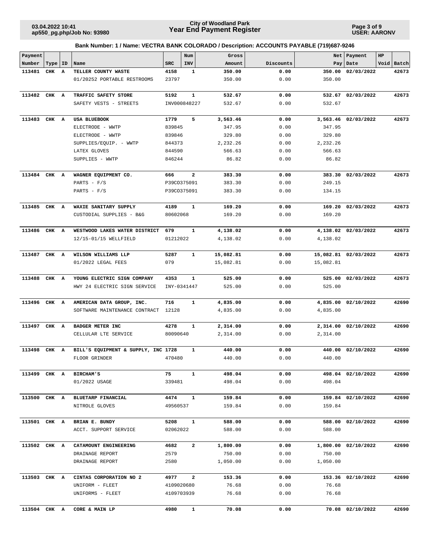**Page 3 of 9 USER: AARONV**

| Payment      |           |                                                            |              | Num            | Gross                |              |                      | Net   Payment        | HP |            |
|--------------|-----------|------------------------------------------------------------|--------------|----------------|----------------------|--------------|----------------------|----------------------|----|------------|
| Number       | Type   ID | Name                                                       | <b>SRC</b>   | <b>INV</b>     | Amount               | Discounts    |                      | Pay   Date           |    | Void Batch |
| 113481       | CHK A     | TELLER COUNTY WASTE                                        | 4158         | $\mathbf{1}$   | 350.00               | 0.00         | 350.00               | 02/03/2022           |    | 42673      |
|              |           | 01/20252 PORTABLE RESTROOMS                                | 23797        |                | 350.00               | 0.00         | 350.00               |                      |    |            |
| 113482 CHK A |           | TRAFFIC SAFETY STORE                                       | 5192         | $\mathbf{1}$   | 532.67               | 0.00         |                      | 532.67 02/03/2022    |    | 42673      |
|              |           | SAFETY VESTS - STREETS                                     |              | INV000848227   | 532.67               | 0.00         | 532.67               |                      |    |            |
|              |           |                                                            |              |                |                      |              |                      |                      |    |            |
| 113483 CHK A |           | USA BLUEBOOK                                               | 1779         | 5              | 3,563.46             | 0.00         |                      | 3,563.46 02/03/2022  |    | 42673      |
|              |           | ELECTRODE - WWTP                                           | 839845       |                | 347.95               | 0.00         | 347.95               |                      |    |            |
|              |           | ELECTRODE - WWTP                                           | 839846       |                | 329.80               | 0.00         | 329.80               |                      |    |            |
|              |           | SUPPLIES/EQUIP. - WWTP                                     | 844373       |                | 2,232.26             | 0.00         | 2,232.26             |                      |    |            |
|              |           | LATEX GLOVES                                               | 844590       |                | 566.63               | 0.00         | 566.63               |                      |    |            |
|              |           | SUPPLIES - WWTP                                            | 846244       |                | 86.82                | 0.00         | 86.82                |                      |    |            |
| 113484 CHK A |           | WAGNER EQUIPMENT CO.                                       | 666          | $\mathbf{2}$   | 383.30               | 0.00         |                      | 383.30 02/03/2022    |    | 42673      |
|              |           | PARTS - $F/S$                                              | P39CO375091  |                | 383.30               | 0.00         | 249.15               |                      |    |            |
|              |           | PARTS - $F/S$                                              | P39CO375091  |                | 383.30               | 0.00         | 134.15               |                      |    |            |
| 113485 CHK A |           | WAXIE SANITARY SUPPLY                                      | 4189         | 1              | 169.20               | 0.00         |                      | 169.20 02/03/2022    |    | 42673      |
|              |           | CUSTODIAL SUPPLIES - B&G                                   | 80602068     |                | 169.20               | 0.00         | 169.20               |                      |    |            |
|              |           |                                                            |              |                |                      |              |                      |                      |    |            |
| 113486 CHK A |           | WESTWOOD LAKES WATER DISTRICT                              | 679          | $\mathbf{1}$   | 4,138.02             | 0.00         |                      | 4,138.02 02/03/2022  |    | 42673      |
|              |           | 12/15-01/15 WELLFIELD                                      | 01212022     |                | 4,138.02             | 0.00         | 4,138.02             |                      |    |            |
|              |           |                                                            |              |                |                      |              |                      |                      |    |            |
| 113487 CHK A |           | WILSON WILLIAMS LLP                                        | 5287<br>079  | $\mathbf{1}$   | 15,082.81            | 0.00         |                      | 15,082.81 02/03/2022 |    | 42673      |
|              |           | 01/2022 LEGAL FEES                                         |              |                | 15,082.81            | 0.00         | 15,082.81            |                      |    |            |
| 113488 CHK A |           | YOUNG ELECTRIC SIGN COMPANY                                | 4353         | 1              | 525.00               | 0.00         | 525.00               | 02/03/2022           |    | 42673      |
|              |           | HWY 24 ELECTRIC SIGN SERVICE                               |              | INY-0341447    | 525.00               | 0.00         | 525.00               |                      |    |            |
|              |           |                                                            |              |                |                      |              |                      |                      |    |            |
| 113496       | CHK A     | AMERICAN DATA GROUP, INC.<br>SOFTWARE MAINTENANCE CONTRACT | 716<br>12128 | 1              | 4,835.00<br>4,835.00 | 0.00<br>0.00 | 4,835.00<br>4,835.00 | 02/10/2022           |    | 42690      |
|              |           |                                                            |              |                |                      |              |                      |                      |    |            |
| 113497       | CHK A     | <b>BADGER METER INC</b>                                    | 4278         | $\mathbf{1}$   | 2,314.00             | 0.00         | 2,314.00             | 02/10/2022           |    | 42690      |
|              |           | CELLULAR LTE SERVICE                                       | 80090640     |                | 2,314.00             | 0.00         | 2,314.00             |                      |    |            |
| 113498       | CHK A     | BILL'S EQUIPMENT & SUPPLY, INC 1728                        |              | 1              | 440.00               | 0.00         | 440.00               | 02/10/2022           |    | 42690      |
|              |           | FLOOR GRINDER                                              | 470480       |                | 440.00               | 0.00         | 440.00               |                      |    |            |
|              |           |                                                            |              |                |                      |              |                      |                      |    |            |
| 113499 CHK A |           | <b>BIRCHAM'S</b>                                           | 75           | 1              | 498.04               | 0.00         |                      | 498.04 02/10/2022    |    | 42690      |
|              |           | 01/2022 USAGE                                              | 339481       |                | 498.04               | 0.00         | 498.04               |                      |    |            |
|              |           |                                                            |              |                |                      |              |                      |                      |    |            |
| 113500 CHK A |           | BLUETARP FINANCIAL                                         | 4474         | $\mathbf{1}$   | 159.84               | 0.00         |                      | 159.84 02/10/2022    |    | 42690      |
|              |           | NITROLE GLOVES                                             | 49560537     |                | 159.84               | 0.00         | 159.84               |                      |    |            |
| 113501 CHK A |           | BRIAN E. BUNDY                                             | 5208         | $\mathbf{1}$   | 588.00               | 0.00         |                      | 588.00 02/10/2022    |    | 42690      |
|              |           | ACCT. SUPPORT SERVICE                                      | 02062022     |                | 588.00               | 0.00         | 588.00               |                      |    |            |
|              |           |                                                            |              |                |                      |              |                      |                      |    |            |
| 113502 CHK A |           | CATAMOUNT ENGINEERING                                      | 4682         | $\mathbf{2}$   | 1,800.00             | 0.00         |                      | 1,800.00 02/10/2022  |    | 42690      |
|              |           | DRAINAGE REPORT                                            | 2579         |                | 750.00               | 0.00         | 750.00               |                      |    |            |
|              |           | DRAINAGE REPORT                                            | 2580         |                | 1,050.00             | 0.00         | 1,050.00             |                      |    |            |
| 113503 CHK A |           | CINTAS CORPORATION NO 2                                    | 4977         | $\overline{a}$ | 153.36               | 0.00         |                      | 153.36 02/10/2022    |    | 42690      |
|              |           | UNIFORM - FLEET                                            | 4109020680   |                | 76.68                | 0.00         | 76.68                |                      |    |            |
|              |           | UNIFORMS - FLEET                                           | 4109703939   |                | 76.68                | 0.00         | 76.68                |                      |    |            |
|              |           |                                                            |              |                |                      |              |                      |                      |    |            |
| 113504 CHK A |           | CORE & MAIN LP                                             | 4980         | 1              | 70.08                | 0.00         |                      | 70.08 02/10/2022     |    | 42690      |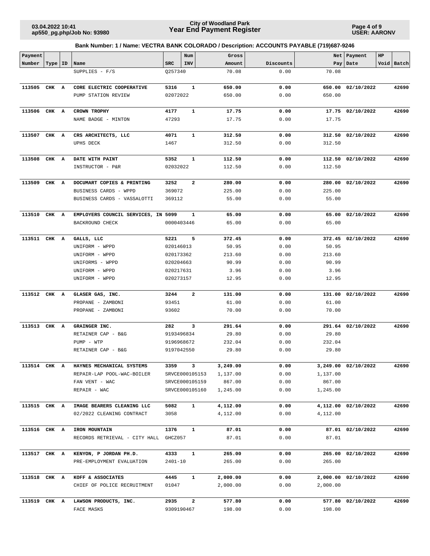**Page 4 of 9 USER: AARONV**

| Payment      |           |                                        |            | Num                     | Gross    |           |          | Net   Payment       | HP |            |
|--------------|-----------|----------------------------------------|------------|-------------------------|----------|-----------|----------|---------------------|----|------------|
| Number       | Type   ID | Name                                   | <b>SRC</b> | INV                     | Amount   | Discounts |          | Pay   Date          |    | Void Batch |
|              |           | SUPPLIES - F/S                         | Q257340    |                         | 70.08    | 0.00      | 70.08    |                     |    |            |
| 113505 CHK A |           | CORE ELECTRIC COOPERATIVE              | 5316       | $\mathbf{1}$            | 650.00   | 0.00      |          | 650.00 02/10/2022   |    | 42690      |
|              |           | PUMP STATION REVIEW                    | 02072022   |                         | 650.00   | 0.00      | 650.00   |                     |    |            |
| 113506 CHK A |           | <b>CROWN TROPHY</b>                    | 4177       | 1                       | 17.75    | 0.00      |          | 17.75 02/10/2022    |    | 42690      |
|              |           | NAME BADGE - MINTON                    | 47293      |                         | 17.75    | 0.00      | 17.75    |                     |    |            |
|              |           |                                        |            |                         |          |           |          |                     |    |            |
| 113507 CHK A |           | CRS ARCHITECTS, LLC                    | 4071       | $\mathbf{1}$            | 312.50   | 0.00      |          | 312.50 02/10/2022   |    | 42690      |
|              |           | <b>UPHS DECK</b>                       | 1467       |                         | 312.50   | 0.00      | 312.50   |                     |    |            |
| 113508 CHK A |           | DATE WITH PAINT                        | 5352       | $\mathbf{1}$            | 112.50   | 0.00      |          | 112.50 02/10/2022   |    | 42690      |
|              |           | INSTRUCTOR - P&R                       | 02032022   |                         | 112.50   | 0.00      | 112.50   |                     |    |            |
|              |           |                                        |            |                         |          |           |          |                     |    |            |
| 113509       | CHK A     | DOCUMART COPIES & PRINTING             | 3252       | 2                       | 280.00   | 0.00      |          | 280.00 02/10/2022   |    | 42690      |
|              |           | BUSINESS CARDS - WPPD                  | 369072     |                         | 225.00   | 0.00      | 225.00   |                     |    |            |
|              |           | BUSINESS CARDS - VASSALOTTI            | 369112     |                         | 55.00    | 0.00      | 55.00    |                     |    |            |
| 113510 CHK A |           | EMPLOYERS COUNCIL SERVICES, IN 5099    |            | 1                       | 65.00    | 0.00      |          | 65.00 02/10/2022    |    | 42690      |
|              |           | BACKROUND CHECK                        | 0000403446 |                         | 65.00    | 0.00      | 65.00    |                     |    |            |
| 113511 CHK A |           | GALLS, LLC                             | 5221       | 5                       | 372.45   | 0.00      |          | 372.45 02/10/2022   |    | 42690      |
|              |           | UNIFORM - WPPD                         | 020146013  |                         | 50.95    | 0.00      | 50.95    |                     |    |            |
|              |           | UNIFORM - WPPD                         | 020173362  |                         | 213.60   | 0.00      | 213.60   |                     |    |            |
|              |           | UNIFORMS - WPPD                        | 020204663  |                         | 90.99    | 0.00      | 90.99    |                     |    |            |
|              |           | UNIFORM - WPPD                         | 020217631  |                         | 3.96     | 0.00      | 3.96     |                     |    |            |
|              |           | UNIFORM - WPPD                         | 020273157  |                         | 12.95    | 0.00      | 12.95    |                     |    |            |
| 113512 CHK A |           | GLASER GAS, INC.                       | 3244       | $\mathbf{2}$            | 131.00   | 0.00      |          | 131.00 02/10/2022   |    | 42690      |
|              |           | PROPANE - ZAMBONI                      | 93451      |                         | 61.00    | 0.00      | 61.00    |                     |    |            |
|              |           | PROPANE - ZAMBONI                      | 93602      |                         | 70.00    | 0.00      | 70.00    |                     |    |            |
| 113513 CHK A |           | GRAINGER INC.                          | 282        | 3                       | 291.64   | 0.00      |          | 291.64 02/10/2022   |    | 42690      |
|              |           | RETAINER CAP - B&G                     | 9193496834 |                         | 29.80    | 0.00      | 29.80    |                     |    |            |
|              |           | PUMP - WTP                             | 9196968672 |                         | 232.04   | 0.00      | 232.04   |                     |    |            |
|              |           | RETAINER CAP - B&G                     | 9197042550 |                         | 29.80    | 0.00      | 29.80    |                     |    |            |
|              |           |                                        |            |                         |          |           |          |                     |    |            |
|              |           | 113514 CHK A HAYNES MECHANICAL SYSTEMS | 3359       | $\overline{\mathbf{3}}$ | 3,249.00 | 0.00      |          | 3,249.00 02/10/2022 |    | 42690      |
|              |           | REPAIR-LAP POOL-WAC-BOILER             |            | SRVCE000105153          | 1,137.00 | 0.00      | 1,137.00 |                     |    |            |
|              |           | FAN VENT - WAC                         |            | SRVCE000105159          | 867.00   | 0.00      | 867.00   |                     |    |            |
|              |           | REPAIR - WAC                           |            | SRVCE000105160          | 1,245.00 | 0.00      | 1,245.00 |                     |    |            |
| 113515 CHK A |           | IMAGE BEARERS CLEANING LLC             | 5082       | $\mathbf{1}$            | 4,112.00 | 0.00      |          | 4,112.00 02/10/2022 |    | 42690      |
|              |           | 02/2022 CLEANING CONTRACT              | 3058       |                         | 4,112.00 | 0.00      | 4,112.00 |                     |    |            |
| 113516 CHK A |           | IRON MOUNTAIN                          | 1376       | $\mathbf{1}$            | 87.01    | 0.00      |          | 87.01 02/10/2022    |    | 42690      |
|              |           | RECORDS RETRIEVAL - CITY HALL          | GHCZ057    |                         | 87.01    | 0.00      | 87.01    |                     |    |            |
|              |           |                                        |            |                         |          |           |          |                     |    |            |
| 113517 CHK A |           | KENYON, P JORDAN PH.D.                 | 4333       | $\mathbf{1}$            | 265.00   | 0.00      |          | 265.00 02/10/2022   |    | 42690      |
|              |           | PRE-EMPLOYMENT EVALUATION              | 2401-10    |                         | 265.00   | 0.00      | 265.00   |                     |    |            |
| 113518 CHK A |           | KOFF & ASSOCIATES                      | 4445       | $\mathbf{1}$            | 2,000.00 | 0.00      |          | 2,000.00 02/10/2022 |    | 42690      |
|              |           | CHIEF OF POLICE RECRUITMENT            | 01047      |                         | 2,000.00 | 0.00      | 2,000.00 |                     |    |            |
| 113519 CHK A |           | LAWSON PRODUCTS, INC.                  | 2935       | 2                       | 577.80   | 0.00      |          | 577.80 02/10/2022   |    | 42690      |
|              |           | FACE MASKS                             | 9309190467 |                         | 198.00   | 0.00      | 198.00   |                     |    |            |
|              |           |                                        |            |                         |          |           |          |                     |    |            |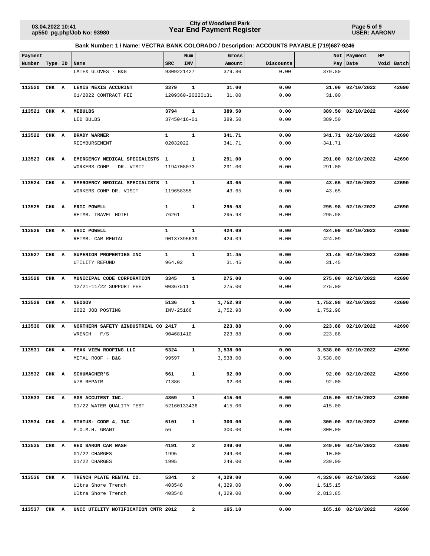**Page 5 of 9 USER: AARONV**

| Payment      |           |                                      |              | Num            |                  | Gross    |           |          | Net   Payment       | HP |            |
|--------------|-----------|--------------------------------------|--------------|----------------|------------------|----------|-----------|----------|---------------------|----|------------|
| Number       | Type   ID | Name                                 | <b>SRC</b>   | <b>INV</b>     |                  | Amount   | Discounts |          | Pay Date            |    | Void Batch |
|              |           | LATEX GLOVES - B&G                   | 9309221427   |                |                  | 379.80   | 0.00      | 379.80   |                     |    |            |
| 113520       | CHK A     | LEXIS NEXIS ACCURINT                 | 3379         | $\mathbf 1$    |                  | 31.00    | 0.00      | 31.00    | 02/10/2022          |    | 42690      |
|              |           | 01/2022 CONTRACT FEE                 |              |                | 1209360-20220131 | 31.00    | 0.00      | 31.00    |                     |    |            |
| 113521 CHK A |           | <b>MEBULBS</b>                       | 3794         | $\mathbf 1$    |                  | 389.50   | 0.00      | 389.50   | 02/10/2022          |    | 42690      |
|              |           | LED BULBS                            | 37450416-01  |                |                  | 389.50   | 0.00      | 389.50   |                     |    |            |
| 113522       | CHK A     | <b>BRADY WARNER</b>                  | 1            | $\mathbf 1$    |                  | 341.71   | 0.00      |          | 341.71 02/10/2022   |    | 42690      |
|              |           | REIMBURSEMENT                        | 02032022     |                |                  | 341.71   | 0.00      | 341.71   |                     |    |            |
| 113523       | CHK A     | EMERGENCY MEDICAL SPECIALISTS        | 1            | $\mathbf 1$    |                  | 291.00   | 0.00      | 291.00   | 02/10/2022          |    | 42690      |
|              |           | WORKERS COMP - DR. VISIT             | 1194708073   |                |                  | 291.00   | 0.00      | 291.00   |                     |    |            |
| 113524 CHK A |           | EMERGENCY MEDICAL SPECIALISTS        | $\mathbf{1}$ | $\mathbf{1}$   |                  | 43.65    | 0.00      |          | 43.65 02/10/2022    |    | 42690      |
|              |           | WORKERS COMP-DR. VISIT               | 119658355    |                |                  | 43.65    | 0.00      | 43.65    |                     |    |            |
| 113525       | CHK A     | ERIC POWELL                          | $\mathbf{1}$ | $\mathbf{1}$   |                  | 295.98   | 0.00      |          | 295.98 02/10/2022   |    | 42690      |
|              |           | REIMB. TRAVEL HOTEL                  | 76261        |                |                  | 295.98   | 0.00      | 295.98   |                     |    |            |
| 113526       | CHK A     | ERIC POWELL                          | $\mathbf{1}$ | $\mathbf{1}$   |                  | 424.09   | 0.00      | 424.09   | 02/10/2022          |    | 42690      |
|              |           | REIMB. CAR RENTAL                    | 90137395639  |                |                  | 424.09   | 0.00      | 424.09   |                     |    |            |
| 113527       | CHK A     | SUPERIOR PROPERTIES INC              | $\mathbf{1}$ | $\mathbf 1$    |                  | 31.45    | 0.00      | 31.45    | 02/10/2022          |    | 42690      |
|              |           | UTILITY REFUND                       | 964.02       |                |                  | 31.45    | 0.00      | 31.45    |                     |    |            |
| 113528       | CHK A     | MUNICIPAL CODE CORPORATION           | 3345         | 1              |                  | 275.00   | 0.00      | 275.00   | 02/10/2022          |    | 42690      |
|              |           | 12/21-11/22 SUPPORT FEE              | 00367511     |                |                  | 275.00   | 0.00      | 275.00   |                     |    |            |
| 113529       | CHK A     | <b>NEOGOV</b>                        | 5136         | 1              |                  | 1,752.98 | 0.00      |          | 1,752.98 02/10/2022 |    | 42690      |
|              |           | 2022 JOB POSTING                     | INV-25166    |                |                  | 1,752.98 | 0.00      | 1,752.98 |                     |    |            |
| 113530       | CHK A     | NORTHERN SAFETY & INDUSTRIAL CO 2417 |              | 1              |                  | 223.88   | 0.00      |          | 223.88 02/10/2022   |    | 42690      |
|              |           | $WRENCH - F/S$                       | 904681410    |                |                  | 223.88   | 0.00      | 223.88   |                     |    |            |
| 113531       | CHK A     | PEAK VIEW ROOFING LLC                | 5324         | 1              |                  | 3,538.00 | 0.00      |          | 3,538.00 02/10/2022 |    | 42690      |
|              |           | METAL ROOF - B&G                     | 99597        |                |                  | 3,538.00 | 0.00      | 3,538.00 |                     |    |            |
| 113532 CHK A |           | <b>SCHUMACHER'S</b>                  | 561          | $\mathbf{1}$   |                  | 92.00    | 0.00      |          | 92.00 02/10/2022    |    | 42690      |
|              |           | #78 REPAIR                           | 71386        |                |                  | 92.00    | 0.00      | 92.00    |                     |    |            |
| 113533 CHK A |           | SGS ACCUTEST INC.                    | 4859         | $\mathbf{1}$   |                  | 415.00   | 0.00      |          | 415.00 02/10/2022   |    | 42690      |
|              |           | 01/22 WATER QUALITY TEST             | 52160133436  |                |                  | 415.00   | 0.00      | 415.00   |                     |    |            |
| 113534 CHK A |           | STATUS: CODE 4, INC                  | 5101         | $\mathbf{1}$   |                  | 300.00   | 0.00      |          | 300.00 02/10/2022   |    | 42690      |
|              |           | P.O.M.H. GRANT                       | 56           |                |                  | 300.00   | 0.00      | 300.00   |                     |    |            |
| 113535 CHK A |           | RED BARON CAR WASH                   | 4191         | $\overline{a}$ |                  | 249.00   | 0.00      |          | 249.00 02/10/2022   |    | 42690      |
|              |           | 01/22 CHARGES                        | 1995         |                |                  | 249.00   | 0.00      | 10.00    |                     |    |            |
|              |           | 01/22 CHARGES                        | 1995         |                |                  | 249.00   | 0.00      | 239.00   |                     |    |            |
| 113536 CHK A |           | TRENCH PLATE RENTAL CO.              | 5341         | $\mathbf{2}$   |                  | 4,329.00 | 0.00      |          | 4,329.00 02/10/2022 |    | 42690      |
|              |           | Ultra Shore Trench                   | 403548       |                |                  | 4,329.00 | 0.00      | 1,515.15 |                     |    |            |
|              |           | Ultra Shore Trench                   | 403548       |                |                  | 4,329.00 | 0.00      | 2,813.85 |                     |    |            |
| 113537       | CHK A     | UNCC UTILITY NOTIFICATION CNTR 2012  |              | $\mathbf{2}$   |                  | 165.10   | 0.00      |          | 165.10 02/10/2022   |    | 42690      |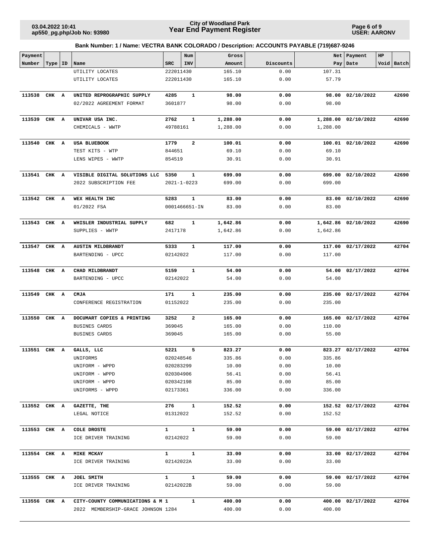**Page 6 of 9 USER: AARONV**

| Payment      |           |   |                                                        |                  | Num                    | Gross            |              | Net      | Payment             | HP |            |
|--------------|-----------|---|--------------------------------------------------------|------------------|------------------------|------------------|--------------|----------|---------------------|----|------------|
| Number       | Type   ID |   | Name                                                   | <b>SRC</b>       | INV                    | Amount           | Discounts    | Pay      | Date                |    | Void Batch |
|              |           |   | UTILITY LOCATES                                        | 222011430        |                        | 165.10           | 0.00         | 107.31   |                     |    |            |
|              |           |   | UTILITY LOCATES                                        | 222011430        |                        | 165.10           | 0.00         | 57.79    |                     |    |            |
| 113538       | CHK A     |   | UNITED REPROGRAPHIC SUPPLY                             | 4285             | $\mathbf{1}$           | 98.00            | 0.00         | 98.00    | 02/10/2022          |    | 42690      |
|              |           |   | 02/2022 AGREEMENT FORMAT                               | 3601877          |                        | 98.00            | 0.00         | 98.00    |                     |    |            |
|              |           |   |                                                        |                  |                        |                  |              |          |                     |    |            |
| 113539 CHK A |           |   | UNIVAR USA INC.                                        | 2762             | 1                      | 1,288.00         | 0.00         |          | 1,288.00 02/10/2022 |    | 42690      |
|              |           |   | CHEMICALS - WWTP                                       | 49788161         |                        | 1,288.00         | 0.00         | 1,288.00 |                     |    |            |
|              |           |   |                                                        |                  |                        |                  |              |          |                     |    |            |
| 113540       | CHK A     |   | USA BLUEBOOK                                           | 1779             | 2                      | 100.01           | 0.00         |          | 100.01 02/10/2022   |    | 42690      |
|              |           |   | TEST KITS - WTP                                        | 844651           |                        | 69.10            | 0.00         | 69.10    |                     |    |            |
|              |           |   | LENS WIPES - WWTP                                      | 854519           |                        | 30.91            | 0.00         | 30.91    |                     |    |            |
|              |           |   |                                                        |                  |                        |                  |              |          |                     |    |            |
| 113541 CHK A |           |   | VISIBLE DIGITAL SOLUTIONS LLC<br>2022 SUBSCRIPTION FEE | 5350             | 1<br>$2021 - 1 - 0223$ | 699.00<br>699.00 | 0.00<br>0.00 | 699.00   | 699.00 02/10/2022   |    | 42690      |
|              |           |   |                                                        |                  |                        |                  |              |          |                     |    |            |
| 113542 CHK A |           |   | WEX HEALTH INC                                         | 5283             | 1                      | 83.00            | 0.00         |          | 83.00 02/10/2022    |    | 42690      |
|              |           |   | 01/2022 FSA                                            |                  | 0001466651-IN          | 83.00            | 0.00         | 83.00    |                     |    |            |
|              |           |   |                                                        |                  |                        |                  |              |          |                     |    |            |
| 113543 CHK A |           |   | WHISLER INDUSTRIAL SUPPLY                              | 682              | 1                      | 1,642.86         | 0.00         |          | 1,642.86 02/10/2022 |    | 42690      |
|              |           |   | SUPPLIES - WWTP                                        | 2417178          |                        | 1,642.86         | 0.00         | 1,642.86 |                     |    |            |
|              |           |   |                                                        |                  |                        |                  |              |          |                     |    |            |
| 113547 CHK A |           |   | AUSTIN MILDBRANDT                                      | 5333             | $\mathbf{1}$           | 117.00           | 0.00         |          | 117.00 02/17/2022   |    | 42704      |
|              |           |   | BARTENDING - UPCC                                      | 02142022         |                        | 117.00           | 0.00         | 117.00   |                     |    |            |
| 113548 CHK A |           |   | CHAD MILDBRANDT                                        | 5159             | 1                      | 54.00            | 0.00         |          | 54.00 02/17/2022    |    | 42704      |
|              |           |   | BARTENDING - UPCC                                      | 02142022         |                        | 54.00            | 0.00         | 54.00    |                     |    |            |
|              |           |   |                                                        |                  |                        |                  |              |          |                     |    |            |
| 113549       | CHK A     |   | <b>CMJA</b>                                            | 171              | 1                      | 235.00           | 0.00         |          | 235.00 02/17/2022   |    | 42704      |
|              |           |   | CONFERENCE REGISTRATION                                | 01152022         |                        | 235.00           | 0.00         | 235.00   |                     |    |            |
|              |           |   |                                                        |                  |                        |                  |              |          |                     |    |            |
| 113550       | CHK       | A | DOCUMART COPIES & PRINTING                             | 3252             | $\mathbf{2}$           | 165.00           | 0.00         |          | 165.00 02/17/2022   |    | 42704      |
|              |           |   | BUSINES CARDS                                          | 369045           |                        | 165.00           | 0.00         | 110.00   |                     |    |            |
|              |           |   | BUSINES CARDS                                          | 369045           |                        | 165.00           | 0.00         | 55.00    |                     |    |            |
| 113551 CHK A |           |   | GALLS, LLC                                             | 5221             | 5                      | 823.27           | 0.00         |          | 823.27 02/17/2022   |    | 42704      |
|              |           |   | UNIFORMS                                               | 020248546        |                        | 335.86           | 0.00         | 335.86   |                     |    |            |
|              |           |   | UNIFORM - WPPD                                         |                  | 020283299              | 10.00            | 0.00         | 10.00    |                     |    |            |
|              |           |   | UNIFORM - WPPD                                         | 020304906        |                        | 56.41            | 0.00         | 56.41    |                     |    |            |
|              |           |   | UNIFORM - WPPD                                         | 020342198        |                        | 85.00            | 0.00         | 85.00    |                     |    |            |
|              |           |   | UNIFORMS - WPPD                                        | 02173361         |                        | 336.00           | 0.00         | 336.00   |                     |    |            |
|              |           |   |                                                        |                  |                        |                  |              |          |                     |    |            |
| 113552 CHK A |           |   | GAZETTE, THE                                           |                  | 276 1                  | 152.52           | 0.00         |          | 152.52 02/17/2022   |    | 42704      |
|              |           |   | LEGAL NOTICE                                           | 01312022         |                        | 152.52           | 0.00         | 152.52   |                     |    |            |
| 113553 CHK A |           |   | COLE DROSTE                                            | $1 \quad$        | $\mathbf{1}$           | 59.00            | 0.00         |          | 59.00 02/17/2022    |    | 42704      |
|              |           |   | ICE DRIVER TRAINING                                    | 02142022         |                        | 59.00            | 0.00         | 59.00    |                     |    |            |
|              |           |   |                                                        |                  |                        |                  |              |          |                     |    |            |
| 113554 CHK A |           |   | <b>MIKE MCKAY</b>                                      | $1 \quad$        | $\mathbf{1}$           | 33.00            | 0.00         |          | 33.00 02/17/2022    |    | 42704      |
|              |           |   | ICE DRIVER TRAINING                                    | 02142022A        |                        | 33.00            | 0.00         | 33.00    |                     |    |            |
|              |           |   |                                                        |                  |                        |                  |              |          |                     |    |            |
| 113555 CHK A |           |   | JOEL SMITH                                             | $1 \quad \cdots$ | $\mathbf{1}$           | 59.00            | 0.00         |          | 59.00 02/17/2022    |    | 42704      |
|              |           |   | ICE DRIVER TRAINING                                    |                  | 02142022B              | 59.00            | 0.00         | 59.00    |                     |    |            |
| 113556 CHK A |           |   | CITY-COUNTY COMMUNICATIONS & M 1                       |                  | $\mathbf{1}$           | 400.00           | 0.00         |          | 400.00 02/17/2022   |    | 42704      |
|              |           |   | 2022 MEMBERSHIP-GRACE JOHNSON 1284                     |                  |                        | 400.00           | 0.00         | 400.00   |                     |    |            |
|              |           |   |                                                        |                  |                        |                  |              |          |                     |    |            |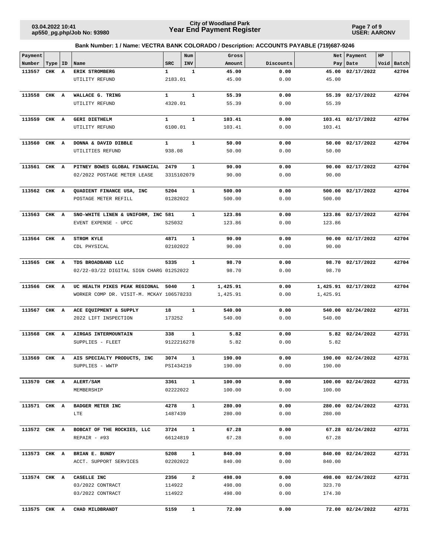**Page 7 of 9 USER: AARONV**

| Payment      |           |   |                                          |              | Num            | Gross    |           |          | Net   Payment       | $_{\rm HP}$ |            |
|--------------|-----------|---|------------------------------------------|--------------|----------------|----------|-----------|----------|---------------------|-------------|------------|
| Number       | Type   ID |   | Name                                     | <b>SRC</b>   | INV            | Amount   | Discounts |          | Pay   Date          |             | Void Batch |
| 113557       | CHK       | A | ERIK STROMBERG                           | 1            | 1              | 45.00    | 0.00      | 45.00    | 02/17/2022          |             | 42704      |
|              |           |   | UTILITY REFUND                           | 2183.01      |                | 45.00    | 0.00      | 45.00    |                     |             |            |
| 113558       | CHK A     |   | WALLACE G. TRING                         | 1            | ${\bf 1}$      | 55.39    | 0.00      | 55.39    | 02/17/2022          |             | 42704      |
|              |           |   | UTILITY REFUND                           | 4320.01      |                | 55.39    | 0.00      | 55.39    |                     |             |            |
|              |           |   |                                          |              |                |          |           |          |                     |             |            |
| 113559       | CHK A     |   | <b>GERI DIETHELM</b>                     | $\mathbf{1}$ | $\mathbf{1}$   | 103.41   | 0.00      |          | 103.41 02/17/2022   |             | 42704      |
|              |           |   | UTILITY REFUND                           | 6100.01      |                | 103.41   | 0.00      | 103.41   |                     |             |            |
|              |           |   |                                          |              |                |          |           |          |                     |             |            |
| 113560       | CHK       | A | DONNA & DAVID DIBBLE                     | $\mathbf{1}$ | $\mathbf{1}$   | 50.00    | 0.00      | 50.00    | 02/17/2022          |             | 42704      |
|              |           |   | UTILITIES REFUND                         | 938.08       |                | 50.00    | 0.00      | 50.00    |                     |             |            |
| 113561 CHK A |           |   | PITNEY BOWES GLOBAL FINANCIAL            | 2479         | $\mathbf{1}$   | 90.00    | 0.00      | 90.00    | 02/17/2022          |             | 42704      |
|              |           |   | 02/2022 POSTAGE METER LEASE              | 3315102079   |                | 90.00    | 0.00      | 90.00    |                     |             |            |
|              |           |   |                                          |              |                |          |           |          |                     |             |            |
| 113562 CHK A |           |   | QUADIENT FINANCE USA, INC                | 5204         | 1              | 500.00   | 0.00      | 500.00   | 02/17/2022          |             | 42704      |
|              |           |   | POSTAGE METER REFILL                     | 01282022     |                | 500.00   | 0.00      | 500.00   |                     |             |            |
|              |           |   |                                          |              |                |          |           |          |                     |             |            |
| 113563       | CHK A     |   | SNO-WHITE LINEN & UNIFORM, INC 581       |              | 1              | 123.86   | 0.00      |          | 123.86 02/17/2022   |             | 42704      |
|              |           |   | EVENT EXPENSE - UPCC                     | S25032       |                | 123.86   | 0.00      | 123.86   |                     |             |            |
| 113564 CHK A |           |   | <b>STROM KYLE</b>                        | 4871         | $\mathbf{1}$   | 90.00    | 0.00      | 90.00    | 02/17/2022          |             | 42704      |
|              |           |   | CDL PHYSICAL                             | 02102022     |                | 90.00    | 0.00      | 90.00    |                     |             |            |
|              |           |   |                                          |              |                |          |           |          |                     |             |            |
| 113565 CHK A |           |   | TDS BROADBAND LLC                        | 5335         | $\mathbf{1}$   | 98.70    | 0.00      | 98.70    | 02/17/2022          |             | 42704      |
|              |           |   | 02/22-03/22 DIGITAL SIGN CHARG 01252022  |              |                | 98.70    | 0.00      | 98.70    |                     |             |            |
| 113566       | CHK A     |   | UC HEALTH PIKES PEAK REGIONAL            | 5040         | 1              | 1,425.91 | 0.00      |          | 1,425.91 02/17/2022 |             | 42704      |
|              |           |   | WORKER COMP DR. VISIT-M. MCKAY 106578233 |              |                | 1,425.91 | 0.00      | 1,425.91 |                     |             |            |
|              |           |   |                                          |              |                |          |           |          |                     |             |            |
| 113567       | CHK A     |   | ACE EQUIPMENT & SUPPLY                   | 18           | $\mathbf{1}$   | 540.00   | 0.00      | 540.00   | 02/24/2022          |             | 42731      |
|              |           |   | 2022 LIFT INSPECTION                     | 173252       |                | 540.00   | 0.00      | 540.00   |                     |             |            |
|              |           |   |                                          |              |                |          |           |          |                     |             |            |
| 113568       | CHK A     |   | AIRGAS INTERMOUNTAIN                     | 338          | $\mathbf{1}$   | 5.82     | 0.00      |          | 5.82 02/24/2022     |             | 42731      |
|              |           |   | SUPPLIES - FLEET                         | 9122216278   |                | 5.82     | 0.00      | 5.82     |                     |             |            |
| 113569       | CHK A     |   | AIS SPECIALTY PRODUCTS, INC              | 3074         | 1              | 190.00   | 0.00      |          | 190.00 02/24/2022   |             | 42731      |
|              |           |   | SUPPLIES - WWTP                          | PSI434219    |                | 190.00   | 0.00      | 190.00   |                     |             |            |
|              |           |   |                                          |              |                |          |           |          |                     |             |            |
| 113570 CHK A |           |   | ALERT/SAM                                | 3361         | $\mathbf{1}$   | 100.00   | 0.00      |          | 100.00 02/24/2022   |             | 42731      |
|              |           |   | MEMBERSHIP                               | 02222022     |                | 100.00   | 0.00      | 100.00   |                     |             |            |
|              |           |   |                                          |              |                |          |           |          |                     |             |            |
| 113571 CHK A |           |   | <b>BADGER METER INC</b>                  | 4278         | $\mathbf{1}$   | 280.00   | 0.00      |          | 280.00 02/24/2022   |             | 42731      |
|              |           |   | LTE                                      | 1487439      |                | 280.00   | 0.00      | 280.00   |                     |             |            |
| 113572 CHK A |           |   | BOBCAT OF THE ROCKIES, LLC               | 3724         | $\mathbf{1}$   | 67.28    | 0.00      |          | 67.28 02/24/2022    |             | 42731      |
|              |           |   | REPAIR - #93                             | 66124819     |                | 67.28    | 0.00      | 67.28    |                     |             |            |
|              |           |   |                                          |              |                |          |           |          |                     |             |            |
| 113573 CHK A |           |   | BRIAN E. BUNDY                           | 5208         | $\mathbf{1}$   | 840.00   | 0.00      |          | 840.00 02/24/2022   |             | 42731      |
|              |           |   | ACCT. SUPPORT SERVICES                   | 02202022     |                | 840.00   | 0.00      | 840.00   |                     |             |            |
| 113574 CHK A |           |   | CASELLE INC                              | 2356         | $\overline{a}$ | 498.00   | 0.00      |          | 498.00 02/24/2022   |             | 42731      |
|              |           |   | 03/2022 CONTRACT                         | 114922       |                | 498.00   | 0.00      | 323.70   |                     |             |            |
|              |           |   | 03/2022 CONTRACT                         | 114922       |                | 498.00   | 0.00      | 174.30   |                     |             |            |
|              |           |   |                                          |              |                |          |           |          |                     |             |            |
| 113575 CHK A |           |   | CHAD MILDBRANDT                          | 5159         | $\mathbf{1}$   | 72.00    | 0.00      |          | 72.00 02/24/2022    |             | 42731      |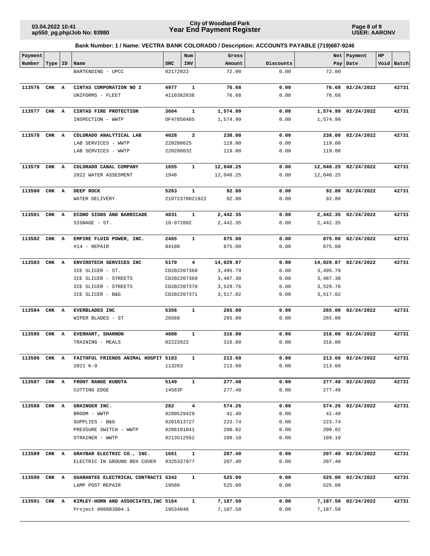**Page 8 of 9 USER: AARONV**

| Payment      |           |   |                                                     |            | Num            | Gross     |           |           | Net   Payment        | HP |            |
|--------------|-----------|---|-----------------------------------------------------|------------|----------------|-----------|-----------|-----------|----------------------|----|------------|
| Number       | Type   ID |   | Name                                                | <b>SRC</b> | INV            | Amount    | Discounts |           | Pay Date             |    | Void Batch |
|              |           |   | BARTENDING - UPCC                                   | 02172022   |                | 72.00     | 0.00      | 72.00     |                      |    |            |
| 113576 CHK A |           |   | CINTAS CORPORATION NO 2                             | 4977       | $\mathbf{1}$   | 76.68     | 0.00      | 76.68     | 02/24/2022           |    | 42731      |
|              |           |   | UNIFORMS - FLEET                                    | 4110382836 |                | 76.68     | 0.00      | 76.68     |                      |    |            |
| 113577 CHK A |           |   | CINTAS FIRE PROTECTION                              | 3604       | 1              | 1,574.99  | 0.00      | 1,574.99  | 02/24/2022           |    | 42731      |
|              |           |   | INSPECTION - WWTP                                   | OF47050485 |                | 1,574.99  | 0.00      | 1,574.99  |                      |    |            |
|              |           |   |                                                     |            |                |           |           |           |                      |    |            |
| 113578       | CHK       | A | COLORADO ANALYTICAL LAB                             | 4028       | 2              | 238.00    | 0.00      | 238.00    | 02/24/2022           |    | 42731      |
|              |           |   | LAB SERVICES - WWTP                                 | 220208025  |                | 119.00    | 0.00      | 119.00    |                      |    |            |
|              |           |   | LAB SERVICES - WWTP                                 | 220208032  |                | 119.00    | 0.00      | 119.00    |                      |    |            |
| 113579 CHK A |           |   | COLORADO CANAL COMPANY                              | 1655       | $\mathbf{1}$   | 12,040.25 | 0.00      |           | 12,040.25 02/24/2022 |    | 42731      |
|              |           |   | 2022 WATER ASSESMENT                                | 1948       |                | 12,040.25 | 0.00      | 12,040.25 |                      |    |            |
| 113580       | CHK A     |   | DEEP ROCK                                           | 5263       | $\mathbf{1}$   | 92.80     | 0.00      |           | 92.80 02/24/2022     |    | 42731      |
|              |           |   | WATER DELIVERY                                      |            | 21072370021922 | 92.80     | 0.00      | 92.80     |                      |    |            |
|              |           |   |                                                     |            |                |           |           |           |                      |    |            |
| 113581 CHK A |           |   | ECONO SIGNS AND BARRICADE                           | 4831       | 1              | 2,442.35  | 0.00      |           | 2,442.35 02/24/2022  |    | 42731      |
|              |           |   | SIGNAGE - ST.                                       | 10-972802  |                | 2,442.35  | 0.00      | 2,442.35  |                      |    |            |
| 113582 CHK A |           |   | EMPIRE FLUID POWER, INC.                            | 2465       | $\mathbf{1}$   | 875.00    | 0.00      | 875.00    | 02/24/2022           |    | 42731      |
|              |           |   | #14 - REPAIR                                        | 84180      |                | 875.00    | 0.00      | 875.00    |                      |    |            |
|              |           |   |                                                     |            |                |           |           |           |                      |    |            |
| 113583       | CHK A     |   | ENVIROTECH SERVICES INC                             | 5170       | 4              | 14,029.87 | 0.00      |           | 14,029.87 02/24/2022 |    | 42731      |
|              |           |   | ICE SLICER - ST.                                    |            | CD202207368    | 3,495.79  | 0.00      | 3,495.79  |                      |    |            |
|              |           |   | ICE SLICER - STREETS                                |            | CD202207369    | 3,487.30  | 0.00      | 3,487.30  |                      |    |            |
|              |           |   | ICE SLICER - STREETS                                |            | CD202207370    | 3,529.76  | 0.00      | 3,529.76  |                      |    |            |
|              |           |   | ICE SLICER - B&G                                    |            | CD202207371    | 3,517.02  | 0.00      | 3,517.02  |                      |    |            |
| 113584 CHK   |           | A | EVERBLADES INC                                      | 5356       | $\mathbf{1}$   | 265.00    | 0.00      | 265.00    | 02/24/2022           |    | 42731      |
|              |           |   | WIPER BLADES - ST                                   | 26568      |                | 265.00    | 0.00      | 265.00    |                      |    |            |
| 113585       | CHK A     |   | EVERHART, SHANNON                                   | 4800       | 1              | 316.00    | 0.00      | 316.00    | 02/24/2022           |    | 42731      |
|              |           |   | TRAINING - MEALS                                    | 02222022   |                | 316.00    | 0.00      | 316.00    |                      |    |            |
| 113586       | CHK A     |   | FAITHFUL FRIENDS ANIMAL HOSPIT 5183                 |            | 1              | 213.60    | 0.00      |           | 213.60 02/24/2022    |    | 42731      |
|              |           |   | 2021 K-9                                            | 113263     |                | 213.60    | 0.00      | 213.60    |                      |    |            |
|              |           |   |                                                     |            |                |           |           |           |                      |    |            |
| 113587 CHK A |           |   | FRONT RANGE KUBOTA                                  | 5149       | $\mathbf{1}$   | 277.48    | 0.00      |           | 277.48 02/24/2022    |    | 42731      |
|              |           |   | CUTTING EDGE                                        | 14563F     |                | 277.48    | 0.00      | 277.48    |                      |    |            |
| 113588 CHK A |           |   | GRAINGER INC.                                       | 282        | 4              | 574.26    | 0.00      |           | 574.26 02/24/2022    |    | 42731      |
|              |           |   | BROOM - WWTP                                        | 9200529429 |                | 41.40     | 0.00      | 41.40     |                      |    |            |
|              |           |   | SUPPLIES - B&G                                      | 9201613727 |                | 223.74    | 0.00      | 223.74    |                      |    |            |
|              |           |   | PRESSURE SWITCH - WWTP                              | 9206101041 |                | 200.02    | 0.00      | 200.02    |                      |    |            |
|              |           |   | STRAINER - WWTP                                     | 9213512552 |                | 109.10    | 0.00      | 109.10    |                      |    |            |
|              |           |   |                                                     |            |                |           |           |           |                      |    |            |
| 113589 CHK A |           |   | GRAYBAR ELECTRIC CO., INC.                          | 1661       | $\mathbf{1}$   | 207.40    | 0.00      |           | 207.40 02/24/2022    |    | 42731      |
|              |           |   | ELECTRIC IN GROUND BOX COVER                        | 9325337977 |                | 207.40    | 0.00      | 207.40    |                      |    |            |
| 113590 CHK A |           |   | GUARANTEE ELECTRICAL CONTRACTI 5342                 |            | $\mathbf{1}$   | 525.00    | 0.00      |           | 525.00 02/24/2022    |    | 42731      |
|              |           |   | LAMP POST REPAIR                                    | 19586      |                | 525.00    | 0.00      | 525.00    |                      |    |            |
|              |           |   | 113591 CHK A KIMLEY-HORN AND ASSOCIATES, INC 5164 1 |            |                | 7,187.50  | 0.00      |           | 7,187.50 02/24/2022  |    | 42731      |
|              |           |   | Project 096883004.1                                 | 19534046   |                | 7,187.50  | 0.00      | 7,187.50  |                      |    |            |
|              |           |   |                                                     |            |                |           |           |           |                      |    |            |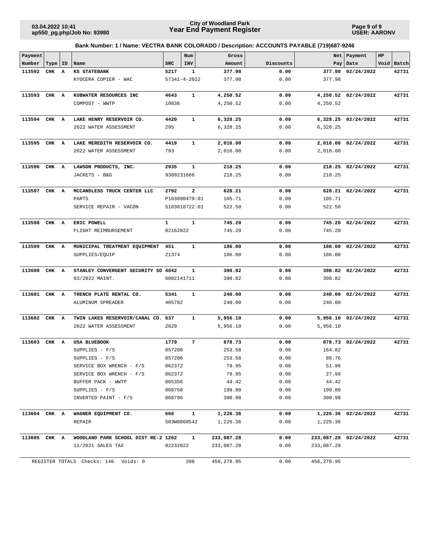**Page 9 of 9 USER: AARONV**

| Payment      |           |              |                                      |              | Num                     | Gross      |           |            | Net   Payment         | HP         |
|--------------|-----------|--------------|--------------------------------------|--------------|-------------------------|------------|-----------|------------|-----------------------|------------|
| Number       | Type   ID |              | Name                                 | SRC          | INV                     | Amount     | Discounts |            | Pay   Date            | Void Batch |
| 113592       | CHK       | $\mathbf{A}$ | <b>KS STATEBANK</b>                  | 5217         | $\mathbf{1}$            | 377.98     | 0.00      |            | 377.98 02/24/2022     | 42731      |
|              |           |              | KYOCERA COPIER - WAC                 |              | $57341 - 4 - 2022$      | 377.98     | 0.00      | 377.98     |                       |            |
| 113593 CHK A |           |              | KUBWATER RESOURCES INC               | 4643         | 1                       | 4,250.52   | 0.00      |            | 4,250.52 02/24/2022   | 42731      |
|              |           |              | COMPOST - WWTP                       | 10836        |                         | 4,250.52   | 0.00      | 4,250.52   |                       |            |
| 113594 CHK A |           |              | LAKE HENRY RESERVOIR CO.             | 4420         | $\mathbf{1}$            | 6,328.25   | 0.00      |            | 6,328.25 02/24/2022   | 42731      |
|              |           |              | 2022 WATER ASSESSMENT                | 295          |                         | 6,328.25   | 0.00      | 6,328.25   |                       |            |
| 113595 CHK A |           |              | LAKE MEREDITH RESERVOIR CO.          | 4419         | $\mathbf{1}$            | 2,016.00   | 0.00      |            | 2,016.00 02/24/2022   | 42731      |
|              |           |              | 2022 WATER ASSESSMENT                | 793          |                         | 2,016.00   | 0.00      | 2,016.00   |                       |            |
| 113596 CHK A |           |              | LAWSON PRODUCTS, INC.                | 2935         | 1                       | 218.25     | 0.00      |            | 218.25 02/24/2022     | 42731      |
|              |           |              | JACKETS - B&G                        |              | 9309231666              | 218.25     | 0.00      | 218.25     |                       |            |
| 113597       | CHK A     |              | MCCANDLESS TRUCK CENTER LLC          | 2792         | $\overline{\mathbf{2}}$ | 628.21     | 0.00      |            | 628.21 02/24/2022     | 42731      |
|              |           |              | PARTS                                |              | P103090479:01           | 105.71     | 0.00      | 105.71     |                       |            |
|              |           |              | SERVICE REPAIR - VACON               |              | S103018722:01           | 522.50     | 0.00      | 522.50     |                       |            |
| 113598 CHK A |           |              | ERIC POWELL                          | $\mathbf{1}$ | $\mathbf{1}$            | 745.20     | 0.00      |            | 745.20 02/24/2022     | 42731      |
|              |           |              | FLIGHT REIMBURSEMENT                 | 02162022     |                         | 745.20     | 0.00      | 745.20     |                       |            |
| 113599       | CHK A     |              | MUNICIPAL TREATMENT EQUIPMENT 451    |              | 1                       | 186.00     | 0.00      |            | 186.00 02/24/2022     | 42731      |
|              |           |              | SUPPLIES/EQUIP                       | 21374        |                         | 186.00     | 0.00      | 186.00     |                       |            |
| 113600       | CHK A     |              | STANLEY CONVERGENT SECURITY SO 4042  |              | 1                       | 398.82     | 0.00      |            | 398.82 02/24/2022     | 42731      |
|              |           |              | 03/2022 MAINT.                       |              | 6002141711              | 398.82     | 0.00      | 398.82     |                       |            |
| 113601 CHK A |           |              | TRENCH PLATE RENTAL CO.              | 5341         | $\mathbf{1}$            | 240.00     | 0.00      |            | 240.00 02/24/2022     | 42731      |
|              |           |              | ALUMINUM SPREADER                    | 405782       |                         | 240.00     | 0.00      | 240.00     |                       |            |
| 113602 CHK A |           |              | TWIN LAKES RESERVOIR/CANAL CO. 637   |              | 1                       | 5,956.10   | 0.00      |            | 5,956.10 02/24/2022   | 42731      |
|              |           |              | 2022 WATER ASSESSMENT                | 2629         |                         | 5,956.10   | 0.00      | 5,956.10   |                       |            |
| 113603       | CHK A     |              | USA BLUEBOOK                         | 1779         | 7                       | 878.73     | 0.00      |            | 878.73 02/24/2022     | 42731      |
|              |           |              | SUPPLIES $- F/S$                     | 857208       |                         | 253.58     | 0.00      | 164.82     |                       |            |
|              |           |              | SUPPLIES - F/S                       | 857208       |                         | 253.58     | 0.00      | 88.76      |                       |            |
|              |           |              | SERVICE BOX WRENCH - F/S             | 862372       |                         | 79.95      | 0.00      | 51.96      |                       |            |
|              |           |              | SERVICE BOX WRENCH - F/S             | 862372       |                         | 79.95      | 0.00      | 27.99      |                       |            |
|              |           |              | BUFFER PACK - WWTP                   | 865356       |                         | 44.42      | 0.00      | 44.42      |                       |            |
|              |           |              | SUPPLIES $- F/S$                     | 868750       |                         | 199.80     | 0.00      | 199.80     |                       |            |
|              |           |              | INVERTED PAINT - F/S                 | 868796       |                         | 300.98     | 0.00      | 300.98     |                       |            |
| 113604 CHK A |           |              | WAGNER EQUIPMENT CO.                 | 666          | $\mathbf{1}$            | 1,226.36   | 0.00      |            | 1,226.36 02/24/2022   | 42731      |
|              |           |              | REPAIR                               |              | S03W0868542             | 1,226.36   | 0.00      | 1,226.36   |                       |            |
| 113605 CHK A |           |              | WOODLAND PARK SCHOOL DIST RE-2 1262  |              | $\mathbf{1}$            | 233,087.28 | 0.00      |            | 233,087.28 02/24/2022 | 42731      |
|              |           |              | 11/2021 SALES TAX                    | 02232022     |                         | 233,087.28 | 0.00      | 233,087.28 |                       |            |
|              |           |              | REGISTER TOTALS Checks: 146 Voids: 0 |              | 208                     | 456,278.95 | 0.00      | 456,278.95 |                       |            |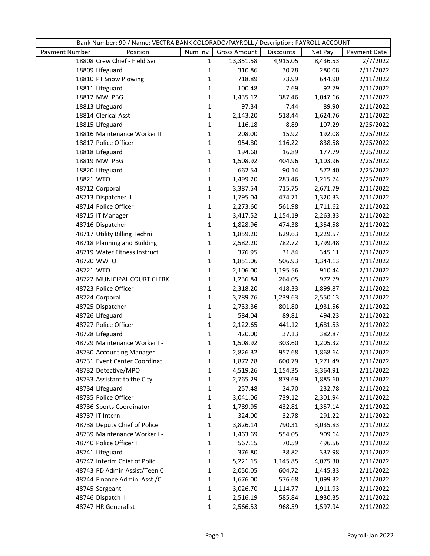|                                   |              |                     | Bank Number: 99 / Name: VECTRA BANK COLORADO/PAYROLL / Description: PAYROLL ACCOUNT |          |              |  |  |  |
|-----------------------------------|--------------|---------------------|-------------------------------------------------------------------------------------|----------|--------------|--|--|--|
| <b>Payment Number</b><br>Position | Num Inv      | <b>Gross Amount</b> | Discounts                                                                           | Net Pay  | Payment Date |  |  |  |
| 18808 Crew Chief - Field Ser      | $\mathbf{1}$ | 13,351.58           | 4,915.05                                                                            | 8,436.53 | 2/7/2022     |  |  |  |
| 18809 Lifeguard                   | 1            | 310.86              | 30.78                                                                               | 280.08   | 2/11/2022    |  |  |  |
| 18810 PT Snow Plowing             | 1            | 718.89              | 73.99                                                                               | 644.90   | 2/11/2022    |  |  |  |
| 18811 Lifeguard                   | 1            | 100.48              | 7.69                                                                                | 92.79    | 2/11/2022    |  |  |  |
| 18812 MWI PBG                     | 1            | 1,435.12            | 387.46                                                                              | 1,047.66 | 2/11/2022    |  |  |  |
| 18813 Lifeguard                   | 1            | 97.34               | 7.44                                                                                | 89.90    | 2/11/2022    |  |  |  |
| 18814 Clerical Asst               | 1            | 2,143.20            | 518.44                                                                              | 1,624.76 | 2/11/2022    |  |  |  |
| 18815 Lifeguard                   | 1            | 116.18              | 8.89                                                                                | 107.29   | 2/25/2022    |  |  |  |
| 18816 Maintenance Worker II       | 1            | 208.00              | 15.92                                                                               | 192.08   | 2/25/2022    |  |  |  |
| 18817 Police Officer              | 1            | 954.80              | 116.22                                                                              | 838.58   | 2/25/2022    |  |  |  |
| 18818 Lifeguard                   | 1            | 194.68              | 16.89                                                                               | 177.79   | 2/25/2022    |  |  |  |
| 18819 MWI PBG                     | 1            | 1,508.92            | 404.96                                                                              | 1,103.96 | 2/25/2022    |  |  |  |
| 18820 Lifeguard                   | 1            | 662.54              | 90.14                                                                               | 572.40   | 2/25/2022    |  |  |  |
| 18821 WTO                         | 1            | 1,499.20            | 283.46                                                                              | 1,215.74 | 2/25/2022    |  |  |  |
| 48712 Corporal                    | 1            | 3,387.54            | 715.75                                                                              | 2,671.79 | 2/11/2022    |  |  |  |
| 48713 Dispatcher II               | 1            | 1,795.04            | 474.71                                                                              | 1,320.33 | 2/11/2022    |  |  |  |
| 48714 Police Officer I            | 1            | 2,273.60            | 561.98                                                                              | 1,711.62 | 2/11/2022    |  |  |  |
| 48715 IT Manager                  | $\mathbf 1$  | 3,417.52            | 1,154.19                                                                            | 2,263.33 | 2/11/2022    |  |  |  |
| 48716 Dispatcher I                | $\mathbf{1}$ | 1,828.96            | 474.38                                                                              | 1,354.58 | 2/11/2022    |  |  |  |
| 48717 Utility Billing Techni      | 1            | 1,859.20            | 629.63                                                                              | 1,229.57 | 2/11/2022    |  |  |  |
| 48718 Planning and Building       | 1            | 2,582.20            | 782.72                                                                              | 1,799.48 | 2/11/2022    |  |  |  |
| 48719 Water Fitness Instruct      | 1            | 376.95              | 31.84                                                                               | 345.11   | 2/11/2022    |  |  |  |
| 48720 WWTO                        | 1            | 1,851.06            | 506.93                                                                              | 1,344.13 | 2/11/2022    |  |  |  |
| 48721 WTO                         | 1            | 2,106.00            | 1,195.56                                                                            | 910.44   | 2/11/2022    |  |  |  |
| 48722 MUNICIPAL COURT CLERK       | 1            | 1,236.84            | 264.05                                                                              | 972.79   | 2/11/2022    |  |  |  |
| 48723 Police Officer II           | 1            | 2,318.20            | 418.33                                                                              | 1,899.87 | 2/11/2022    |  |  |  |
| 48724 Corporal                    | 1            | 3,789.76            | 1,239.63                                                                            | 2,550.13 | 2/11/2022    |  |  |  |
| 48725 Dispatcher I                | 1            | 2,733.36            | 801.80                                                                              | 1,931.56 | 2/11/2022    |  |  |  |
| 48726 Lifeguard                   | 1            | 584.04              | 89.81                                                                               | 494.23   | 2/11/2022    |  |  |  |
| 48727 Police Officer I            | $\mathbf 1$  | 2,122.65            | 441.12                                                                              | 1,681.53 | 2/11/2022    |  |  |  |
| 48728 Lifeguard                   | 1            | 420.00              | 37.13                                                                               | 382.87   | 2/11/2022    |  |  |  |
| 48729 Maintenance Worker I -      | 1            | 1,508.92            | 303.60                                                                              | 1,205.32 | 2/11/2022    |  |  |  |
| 48730 Accounting Manager          | 1            | 2,826.32            | 957.68                                                                              | 1,868.64 | 2/11/2022    |  |  |  |
| 48731 Event Center Coordinat      | 1            | 1,872.28            | 600.79                                                                              | 1,271.49 | 2/11/2022    |  |  |  |
| 48732 Detective/MPO               | 1            | 4,519.26            | 1,154.35                                                                            | 3,364.91 | 2/11/2022    |  |  |  |
| 48733 Assistant to the City       | 1            | 2,765.29            | 879.69                                                                              | 1,885.60 | 2/11/2022    |  |  |  |
| 48734 Lifeguard                   | 1            | 257.48              | 24.70                                                                               | 232.78   | 2/11/2022    |  |  |  |
| 48735 Police Officer I            | 1            | 3,041.06            | 739.12                                                                              | 2,301.94 | 2/11/2022    |  |  |  |
| 48736 Sports Coordinator          | 1            | 1,789.95            | 432.81                                                                              | 1,357.14 | 2/11/2022    |  |  |  |
| 48737 IT Intern                   | 1            | 324.00              | 32.78                                                                               | 291.22   | 2/11/2022    |  |  |  |
| 48738 Deputy Chief of Police      | 1            | 3,826.14            | 790.31                                                                              | 3,035.83 | 2/11/2022    |  |  |  |
| 48739 Maintenance Worker I -      | 1            | 1,463.69            | 554.05                                                                              | 909.64   | 2/11/2022    |  |  |  |
| 48740 Police Officer I            | 1            | 567.15              | 70.59                                                                               | 496.56   | 2/11/2022    |  |  |  |
| 48741 Lifeguard                   | 1            | 376.80              | 38.82                                                                               | 337.98   | 2/11/2022    |  |  |  |
| 48742 Interim Chief of Polic      | 1            | 5,221.15            | 1,145.85                                                                            | 4,075.30 | 2/11/2022    |  |  |  |
| 48743 PD Admin Assist/Teen C      | 1            | 2,050.05            | 604.72                                                                              | 1,445.33 | 2/11/2022    |  |  |  |
| 48744 Finance Admin. Asst./C      | 1            | 1,676.00            | 576.68                                                                              | 1,099.32 | 2/11/2022    |  |  |  |
| 48745 Sergeant                    | 1            | 3,026.70            | 1,114.77                                                                            | 1,911.93 | 2/11/2022    |  |  |  |
| 48746 Dispatch II                 | 1            | 2,516.19            | 585.84                                                                              | 1,930.35 | 2/11/2022    |  |  |  |
| 48747 HR Generalist               | $\mathbf 1$  | 2,566.53            | 968.59                                                                              | 1,597.94 | 2/11/2022    |  |  |  |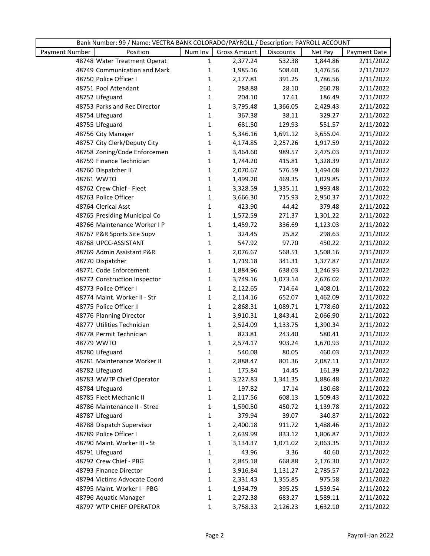|                | Bank Number: 99 / Name: VECTRA BANK COLORADO/PAYROLL / Description: PAYROLL ACCOUNT |              |                     |                  |          |              |  |
|----------------|-------------------------------------------------------------------------------------|--------------|---------------------|------------------|----------|--------------|--|
| Payment Number | Position                                                                            | Num Inv      | <b>Gross Amount</b> | <b>Discounts</b> | Net Pay  | Payment Date |  |
|                | 48748 Water Treatment Operat                                                        | $\mathbf{1}$ | 2,377.24            | 532.38           | 1,844.86 | 2/11/2022    |  |
|                | 48749 Communication and Mark                                                        | $\mathbf{1}$ | 1,985.16            | 508.60           | 1,476.56 | 2/11/2022    |  |
|                | 48750 Police Officer I                                                              | $\mathbf{1}$ | 2,177.81            | 391.25           | 1,786.56 | 2/11/2022    |  |
|                | 48751 Pool Attendant                                                                | $\mathbf{1}$ | 288.88              | 28.10            | 260.78   | 2/11/2022    |  |
|                | 48752 Lifeguard                                                                     | 1            | 204.10              | 17.61            | 186.49   | 2/11/2022    |  |
|                | 48753 Parks and Rec Director                                                        | $\mathbf{1}$ | 3,795.48            | 1,366.05         | 2,429.43 | 2/11/2022    |  |
|                | 48754 Lifeguard                                                                     | $\mathbf{1}$ | 367.38              | 38.11            | 329.27   | 2/11/2022    |  |
|                | 48755 Lifeguard                                                                     | $\mathbf{1}$ | 681.50              | 129.93           | 551.57   | 2/11/2022    |  |
|                | 48756 City Manager                                                                  | $\mathbf{1}$ | 5,346.16            | 1,691.12         | 3,655.04 | 2/11/2022    |  |
|                | 48757 City Clerk/Deputy City                                                        | $\mathbf{1}$ | 4,174.85            | 2,257.26         | 1,917.59 | 2/11/2022    |  |
|                | 48758 Zoning/Code Enforcemen                                                        | $1\,$        | 3,464.60            | 989.57           | 2,475.03 | 2/11/2022    |  |
|                | 48759 Finance Technician                                                            | $\mathbf{1}$ | 1,744.20            | 415.81           | 1,328.39 | 2/11/2022    |  |
|                | 48760 Dispatcher II                                                                 | $\mathbf{1}$ | 2,070.67            | 576.59           | 1,494.08 | 2/11/2022    |  |
|                | 48761 WWTO                                                                          | $\mathbf{1}$ | 1,499.20            | 469.35           | 1,029.85 | 2/11/2022    |  |
|                | 48762 Crew Chief - Fleet                                                            | $\mathbf{1}$ | 3,328.59            | 1,335.11         | 1,993.48 | 2/11/2022    |  |
|                | 48763 Police Officer                                                                | $1\,$        | 3,666.30            | 715.93           | 2,950.37 | 2/11/2022    |  |
|                | 48764 Clerical Asst                                                                 | $\mathbf{1}$ | 423.90              | 44.42            | 379.48   | 2/11/2022    |  |
|                | 48765 Presiding Municipal Co                                                        | 1            | 1,572.59            | 271.37           | 1,301.22 | 2/11/2022    |  |
|                | 48766 Maintenance Worker I P                                                        | $\mathbf{1}$ | 1,459.72            | 336.69           | 1,123.03 | 2/11/2022    |  |
|                | 48767 P&R Sports Site Supv                                                          | $\mathbf{1}$ | 324.45              | 25.82            | 298.63   | 2/11/2022    |  |
|                | 48768 UPCC-ASSISTANT                                                                | $\mathbf{1}$ | 547.92              | 97.70            | 450.22   | 2/11/2022    |  |
|                | 48769 Admin Assistant P&R                                                           | $\mathbf{1}$ | 2,076.67            | 568.51           | 1,508.16 | 2/11/2022    |  |
|                | 48770 Dispatcher                                                                    | $\mathbf{1}$ | 1,719.18            | 341.31           | 1,377.87 | 2/11/2022    |  |
|                | 48771 Code Enforcement                                                              | $\mathbf{1}$ | 1,884.96            | 638.03           | 1,246.93 | 2/11/2022    |  |
|                | 48772 Construction Inspector                                                        | $\mathbf{1}$ | 3,749.16            | 1,073.14         | 2,676.02 | 2/11/2022    |  |
|                | 48773 Police Officer I                                                              | $\mathbf{1}$ | 2,122.65            | 714.64           | 1,408.01 | 2/11/2022    |  |
|                | 48774 Maint. Worker II - Str                                                        | $\mathbf{1}$ | 2,114.16            | 652.07           | 1,462.09 | 2/11/2022    |  |
|                | 48775 Police Officer II                                                             | $\mathbf{1}$ | 2,868.31            | 1,089.71         | 1,778.60 | 2/11/2022    |  |
|                | 48776 Planning Director                                                             | $\mathbf{1}$ | 3,910.31            | 1,843.41         | 2,066.90 | 2/11/2022    |  |
|                | 48777 Utilities Technician                                                          | $\mathbf{1}$ | 2,524.09            | 1,133.75         | 1,390.34 | 2/11/2022    |  |
|                | 48778 Permit Technician                                                             | $\mathbf{1}$ | 823.81              | 243.40           | 580.41   | 2/11/2022    |  |
|                | 48779 WWTO                                                                          | 1            | 2,574.17            | 903.24           | 1,670.93 | 2/11/2022    |  |
|                | 48780 Lifeguard                                                                     | 1            | 540.08              | 80.05            | 460.03   | 2/11/2022    |  |
|                | 48781 Maintenance Worker II                                                         | 1            | 2,888.47            | 801.36           | 2,087.11 | 2/11/2022    |  |
|                | 48782 Lifeguard                                                                     | $\mathbf{1}$ | 175.84              | 14.45            | 161.39   | 2/11/2022    |  |
|                | 48783 WWTP Chief Operator                                                           | 1            | 3,227.83            | 1,341.35         | 1,886.48 | 2/11/2022    |  |
|                | 48784 Lifeguard                                                                     | 1            | 197.82              | 17.14            | 180.68   | 2/11/2022    |  |
|                | 48785 Fleet Mechanic II                                                             | 1            | 2,117.56            | 608.13           | 1,509.43 | 2/11/2022    |  |
|                | 48786 Maintenance II - Stree                                                        | $\mathbf{1}$ | 1,590.50            | 450.72           | 1,139.78 | 2/11/2022    |  |
|                | 48787 Lifeguard                                                                     | 1            | 379.94              | 39.07            | 340.87   | 2/11/2022    |  |
|                | 48788 Dispatch Supervisor                                                           | $\mathbf{1}$ | 2,400.18            | 911.72           | 1,488.46 | 2/11/2022    |  |
|                | 48789 Police Officer I                                                              | $\mathbf{1}$ | 2,639.99            | 833.12           | 1,806.87 | 2/11/2022    |  |
|                | 48790 Maint. Worker III - St                                                        | 1            | 3,134.37            | 1,071.02         | 2,063.35 | 2/11/2022    |  |
|                | 48791 Lifeguard                                                                     | $\mathbf{1}$ | 43.96               | 3.36             | 40.60    | 2/11/2022    |  |
|                | 48792 Crew Chief - PBG                                                              | $\mathbf{1}$ | 2,845.18            | 668.88           | 2,176.30 | 2/11/2022    |  |
|                | 48793 Finance Director                                                              | 1            | 3,916.84            | 1,131.27         | 2,785.57 | 2/11/2022    |  |
|                | 48794 Victims Advocate Coord                                                        | $\mathbf{1}$ | 2,331.43            | 1,355.85         | 975.58   | 2/11/2022    |  |
|                | 48795 Maint. Worker I - PBG                                                         | 1            | 1,934.79            | 395.25           | 1,539.54 | 2/11/2022    |  |
|                | 48796 Aquatic Manager                                                               | 1            | 2,272.38            | 683.27           | 1,589.11 | 2/11/2022    |  |
|                | 48797 WTP CHIEF OPERATOR                                                            | $\mathbf{1}$ | 3,758.33            | 2,126.23         | 1,632.10 | 2/11/2022    |  |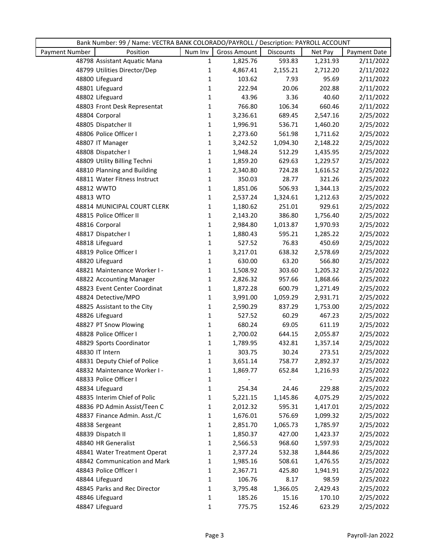|                | Bank Number: 99 / Name: VECTRA BANK COLORADO/PAYROLL / Description: PAYROLL ACCOUNT |              |                     |                  |          |              |  |
|----------------|-------------------------------------------------------------------------------------|--------------|---------------------|------------------|----------|--------------|--|
| Payment Number | Position                                                                            | Num Inv      | <b>Gross Amount</b> | <b>Discounts</b> | Net Pay  | Payment Date |  |
|                | 48798 Assistant Aquatic Mana                                                        | $\mathbf{1}$ | 1,825.76            | 593.83           | 1,231.93 | 2/11/2022    |  |
|                | 48799 Utilities Director/Dep                                                        | 1            | 4,867.41            | 2,155.21         | 2,712.20 | 2/11/2022    |  |
|                | 48800 Lifeguard                                                                     | $\mathbf{1}$ | 103.62              | 7.93             | 95.69    | 2/11/2022    |  |
|                | 48801 Lifeguard                                                                     | $\mathbf{1}$ | 222.94              | 20.06            | 202.88   | 2/11/2022    |  |
|                | 48802 Lifeguard                                                                     | 1            | 43.96               | 3.36             | 40.60    | 2/11/2022    |  |
|                | 48803 Front Desk Representat                                                        | $1\,$        | 766.80              | 106.34           | 660.46   | 2/11/2022    |  |
|                | 48804 Corporal                                                                      | $\mathbf{1}$ | 3,236.61            | 689.45           | 2,547.16 | 2/25/2022    |  |
|                | 48805 Dispatcher II                                                                 | $\mathbf{1}$ | 1,996.91            | 536.71           | 1,460.20 | 2/25/2022    |  |
|                | 48806 Police Officer I                                                              | $\mathbf{1}$ | 2,273.60            | 561.98           | 1,711.62 | 2/25/2022    |  |
|                | 48807 IT Manager                                                                    | $1\,$        | 3,242.52            | 1,094.30         | 2,148.22 | 2/25/2022    |  |
|                | 48808 Dispatcher I                                                                  | $1\,$        | 1,948.24            | 512.29           | 1,435.95 | 2/25/2022    |  |
|                | 48809 Utility Billing Techni                                                        | $\mathbf{1}$ | 1,859.20            | 629.63           | 1,229.57 | 2/25/2022    |  |
|                | 48810 Planning and Building                                                         | $\mathbf{1}$ | 2,340.80            | 724.28           | 1,616.52 | 2/25/2022    |  |
|                | 48811 Water Fitness Instruct                                                        | $\mathbf{1}$ | 350.03              | 28.77            | 321.26   | 2/25/2022    |  |
|                | 48812 WWTO                                                                          | $\mathbf{1}$ | 1,851.06            | 506.93           | 1,344.13 | 2/25/2022    |  |
| 48813 WTO      |                                                                                     | $1\,$        | 2,537.24            | 1,324.61         | 1,212.63 | 2/25/2022    |  |
|                | 48814 MUNICIPAL COURT CLERK                                                         | 1            | 1,180.62            | 251.01           | 929.61   | 2/25/2022    |  |
|                | 48815 Police Officer II                                                             | 1            | 2,143.20            | 386.80           | 1,756.40 | 2/25/2022    |  |
|                | 48816 Corporal                                                                      | $\mathbf{1}$ | 2,984.80            | 1,013.87         | 1,970.93 | 2/25/2022    |  |
|                | 48817 Dispatcher I                                                                  | $\mathbf{1}$ | 1,880.43            | 595.21           | 1,285.22 | 2/25/2022    |  |
|                | 48818 Lifeguard                                                                     | $\mathbf{1}$ | 527.52              | 76.83            | 450.69   | 2/25/2022    |  |
|                | 48819 Police Officer I                                                              | $\mathbf{1}$ | 3,217.01            | 638.32           | 2,578.69 | 2/25/2022    |  |
|                | 48820 Lifeguard                                                                     | $\mathbf 1$  | 630.00              | 63.20            | 566.80   | 2/25/2022    |  |
|                | 48821 Maintenance Worker I -                                                        | 1            | 1,508.92            | 303.60           | 1,205.32 | 2/25/2022    |  |
|                | 48822 Accounting Manager                                                            | $\mathbf{1}$ | 2,826.32            | 957.66           | 1,868.66 | 2/25/2022    |  |
|                | 48823 Event Center Coordinat                                                        | $\mathbf{1}$ | 1,872.28            | 600.79           | 1,271.49 | 2/25/2022    |  |
|                | 48824 Detective/MPO                                                                 | $\mathbf{1}$ | 3,991.00            | 1,059.29         | 2,931.71 | 2/25/2022    |  |
|                | 48825 Assistant to the City                                                         | $\mathbf{1}$ | 2,590.29            | 837.29           | 1,753.00 | 2/25/2022    |  |
|                | 48826 Lifeguard                                                                     | $\mathbf{1}$ | 527.52              | 60.29            | 467.23   | 2/25/2022    |  |
|                | 48827 PT Snow Plowing                                                               | $\mathbf{1}$ | 680.24              | 69.05            | 611.19   | 2/25/2022    |  |
|                | 48828 Police Officer I                                                              | $\mathbf{1}$ | 2,700.02            | 644.15           | 2,055.87 | 2/25/2022    |  |
|                | 48829 Sports Coordinator                                                            | 1            | 1,789.95            | 432.81           | 1,357.14 | 2/25/2022    |  |
|                | 48830 IT Intern                                                                     | 1            | 303.75              | 30.24            | 273.51   | 2/25/2022    |  |
|                | 48831 Deputy Chief of Police                                                        | 1            | 3,651.14            | 758.77           | 2,892.37 | 2/25/2022    |  |
|                | 48832 Maintenance Worker I -                                                        | $\mathbf{1}$ | 1,869.77            | 652.84           | 1,216.93 | 2/25/2022    |  |
|                | 48833 Police Officer I                                                              | 1            |                     |                  |          | 2/25/2022    |  |
|                | 48834 Lifeguard                                                                     | 1            | 254.34              | 24.46            | 229.88   | 2/25/2022    |  |
|                | 48835 Interim Chief of Polic                                                        | 1            | 5,221.15            | 1,145.86         | 4,075.29 | 2/25/2022    |  |
|                | 48836 PD Admin Assist/Teen C                                                        | 1            | 2,012.32            | 595.31           | 1,417.01 | 2/25/2022    |  |
|                | 48837 Finance Admin. Asst./C                                                        | 1            | 1,676.01            | 576.69           | 1,099.32 | 2/25/2022    |  |
|                | 48838 Sergeant                                                                      | $\mathbf{1}$ | 2,851.70            | 1,065.73         | 1,785.97 | 2/25/2022    |  |
|                | 48839 Dispatch II                                                                   | 1            | 1,850.37            | 427.00           | 1,423.37 | 2/25/2022    |  |
|                | 48840 HR Generalist                                                                 | 1            | 2,566.53            | 968.60           | 1,597.93 | 2/25/2022    |  |
|                | 48841 Water Treatment Operat                                                        | $\mathbf{1}$ | 2,377.24            | 532.38           | 1,844.86 | 2/25/2022    |  |
|                | 48842 Communication and Mark                                                        | 1            | 1,985.16            | 508.61           | 1,476.55 | 2/25/2022    |  |
|                | 48843 Police Officer I                                                              | 1            | 2,367.71            | 425.80           | 1,941.91 | 2/25/2022    |  |
|                | 48844 Lifeguard                                                                     | 1            | 106.76              | 8.17             | 98.59    | 2/25/2022    |  |
|                | 48845 Parks and Rec Director                                                        | 1            | 3,795.48            | 1,366.05         | 2,429.43 | 2/25/2022    |  |
|                | 48846 Lifeguard                                                                     | 1            | 185.26              | 15.16            | 170.10   | 2/25/2022    |  |
|                | 48847 Lifeguard                                                                     | $\mathbf{1}$ | 775.75              | 152.46           | 623.29   | 2/25/2022    |  |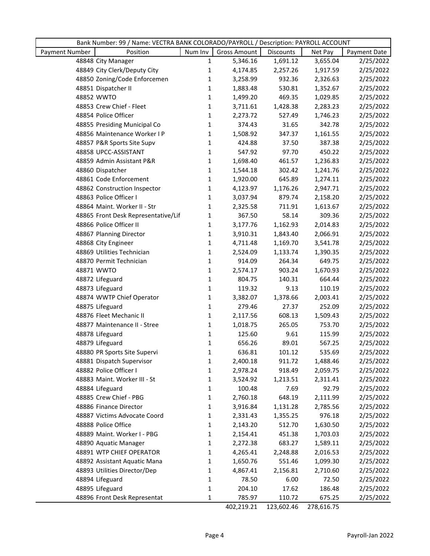| Bank Number: 99 / Name: VECTRA BANK COLORADO/PAYROLL / Description: PAYROLL ACCOUNT |                                     |              |                     |            |            |              |  |
|-------------------------------------------------------------------------------------|-------------------------------------|--------------|---------------------|------------|------------|--------------|--|
| Payment Number                                                                      | Position                            | Num Inv      | <b>Gross Amount</b> | Discounts  | Net Pay    | Payment Date |  |
|                                                                                     | 48848 City Manager                  | $\mathbf{1}$ | 5,346.16            | 1,691.12   | 3,655.04   | 2/25/2022    |  |
|                                                                                     | 48849 City Clerk/Deputy City        | 1            | 4,174.85            | 2,257.26   | 1,917.59   | 2/25/2022    |  |
|                                                                                     | 48850 Zoning/Code Enforcemen        | 1            | 3,258.99            | 932.36     | 2,326.63   | 2/25/2022    |  |
|                                                                                     | 48851 Dispatcher II                 | 1            | 1,883.48            | 530.81     | 1,352.67   | 2/25/2022    |  |
|                                                                                     | 48852 WWTO                          | $\mathbf{1}$ | 1,499.20            | 469.35     | 1,029.85   | 2/25/2022    |  |
|                                                                                     | 48853 Crew Chief - Fleet            | $\mathbf{1}$ | 3,711.61            | 1,428.38   | 2,283.23   | 2/25/2022    |  |
|                                                                                     | 48854 Police Officer                | $\mathbf{1}$ | 2,273.72            | 527.49     | 1,746.23   | 2/25/2022    |  |
|                                                                                     | 48855 Presiding Municipal Co        | $\mathbf{1}$ | 374.43              | 31.65      | 342.78     | 2/25/2022    |  |
|                                                                                     | 48856 Maintenance Worker I P        | $\mathbf{1}$ | 1,508.92            | 347.37     | 1,161.55   | 2/25/2022    |  |
|                                                                                     | 48857 P&R Sports Site Supv          | $\mathbf{1}$ | 424.88              | 37.50      | 387.38     | 2/25/2022    |  |
|                                                                                     | 48858 UPCC-ASSISTANT                | $\mathbf{1}$ | 547.92              | 97.70      | 450.22     | 2/25/2022    |  |
|                                                                                     | 48859 Admin Assistant P&R           | $\mathbf{1}$ | 1,698.40            | 461.57     | 1,236.83   | 2/25/2022    |  |
|                                                                                     | 48860 Dispatcher                    | $\mathbf{1}$ | 1,544.18            | 302.42     | 1,241.76   | 2/25/2022    |  |
|                                                                                     | 48861 Code Enforcement              | $\mathbf{1}$ | 1,920.00            | 645.89     | 1,274.11   | 2/25/2022    |  |
|                                                                                     | 48862 Construction Inspector        | $\mathbf{1}$ | 4,123.97            | 1,176.26   | 2,947.71   | 2/25/2022    |  |
|                                                                                     | 48863 Police Officer I              | 1            | 3,037.94            | 879.74     | 2,158.20   | 2/25/2022    |  |
|                                                                                     | 48864 Maint. Worker II - Str        | $\mathbf{1}$ | 2,325.58            | 711.91     | 1,613.67   | 2/25/2022    |  |
|                                                                                     | 48865 Front Desk Representative/Lif | $\mathbf{1}$ | 367.50              | 58.14      | 309.36     | 2/25/2022    |  |
|                                                                                     | 48866 Police Officer II             | $\mathbf{1}$ | 3,177.76            | 1,162.93   | 2,014.83   | 2/25/2022    |  |
|                                                                                     | 48867 Planning Director             | $\mathbf{1}$ | 3,910.31            | 1,843.40   | 2,066.91   | 2/25/2022    |  |
|                                                                                     | 48868 City Engineer                 | $\mathbf{1}$ | 4,711.48            | 1,169.70   | 3,541.78   | 2/25/2022    |  |
|                                                                                     | 48869 Utilities Technician          | $\mathbf{1}$ | 2,524.09            | 1,133.74   | 1,390.35   | 2/25/2022    |  |
|                                                                                     | 48870 Permit Technician             | $\mathbf{1}$ | 914.09              | 264.34     | 649.75     | 2/25/2022    |  |
|                                                                                     | 48871 WWTO                          | $\mathbf{1}$ | 2,574.17            | 903.24     | 1,670.93   | 2/25/2022    |  |
|                                                                                     | 48872 Lifeguard                     | $\mathbf{1}$ | 804.75              | 140.31     | 664.44     | 2/25/2022    |  |
|                                                                                     | 48873 Lifeguard                     | $\mathbf{1}$ | 119.32              | 9.13       | 110.19     | 2/25/2022    |  |
|                                                                                     | 48874 WWTP Chief Operator           | $\mathbf{1}$ | 3,382.07            | 1,378.66   | 2,003.41   | 2/25/2022    |  |
|                                                                                     | 48875 Lifeguard                     | $\mathbf{1}$ | 279.46              | 27.37      | 252.09     | 2/25/2022    |  |
|                                                                                     | 48876 Fleet Mechanic II             | 1            | 2,117.56            | 608.13     | 1,509.43   | 2/25/2022    |  |
|                                                                                     | 48877 Maintenance II - Stree        | 1            | 1,018.75            | 265.05     | 753.70     | 2/25/2022    |  |
|                                                                                     | 48878 Lifeguard                     | $\mathbf{1}$ | 125.60              | 9.61       | 115.99     | 2/25/2022    |  |
|                                                                                     | 48879 Lifeguard                     | $\mathbf{1}$ | 656.26              | 89.01      | 567.25     | 2/25/2022    |  |
|                                                                                     | 48880 PR Sports Site Supervi        | $\mathbf{1}$ | 636.81              | 101.12     | 535.69     | 2/25/2022    |  |
|                                                                                     | 48881 Dispatch Supervisor           | 1            | 2,400.18            | 911.72     | 1,488.46   | 2/25/2022    |  |
|                                                                                     | 48882 Police Officer I              | 1            | 2,978.24            | 918.49     | 2,059.75   | 2/25/2022    |  |
|                                                                                     | 48883 Maint. Worker III - St        | 1            | 3,524.92            | 1,213.51   | 2,311.41   | 2/25/2022    |  |
|                                                                                     | 48884 Lifeguard                     | 1            | 100.48              | 7.69       | 92.79      | 2/25/2022    |  |
|                                                                                     | 48885 Crew Chief - PBG              | 1            | 2,760.18            | 648.19     | 2,111.99   | 2/25/2022    |  |
|                                                                                     | 48886 Finance Director              | 1            | 3,916.84            | 1,131.28   | 2,785.56   | 2/25/2022    |  |
|                                                                                     | 48887 Victims Advocate Coord        | 1            | 2,331.43            | 1,355.25   | 976.18     | 2/25/2022    |  |
|                                                                                     | 48888 Police Office                 | 1            | 2,143.20            | 512.70     | 1,630.50   | 2/25/2022    |  |
|                                                                                     | 48889 Maint. Worker I - PBG         | $\mathbf{1}$ | 2,154.41            | 451.38     | 1,703.03   | 2/25/2022    |  |
|                                                                                     | 48890 Aquatic Manager               | 1            | 2,272.38            | 683.27     | 1,589.11   | 2/25/2022    |  |
|                                                                                     | 48891 WTP CHIEF OPERATOR            | 1            | 4,265.41            | 2,248.88   | 2,016.53   | 2/25/2022    |  |
|                                                                                     | 48892 Assistant Aquatic Mana        | 1            | 1,650.76            | 551.46     | 1,099.30   | 2/25/2022    |  |
|                                                                                     | 48893 Utilities Director/Dep        | 1            | 4,867.41            | 2,156.81   | 2,710.60   | 2/25/2022    |  |
|                                                                                     | 48894 Lifeguard                     | 1            | 78.50               | 6.00       | 72.50      | 2/25/2022    |  |
|                                                                                     | 48895 Lifeguard                     | 1            | 204.10              | 17.62      | 186.48     | 2/25/2022    |  |
|                                                                                     | 48896 Front Desk Representat        | 1            | 785.97              | 110.72     | 675.25     | 2/25/2022    |  |
|                                                                                     |                                     |              | 402,219.21          | 123,602.46 | 278,616.75 |              |  |